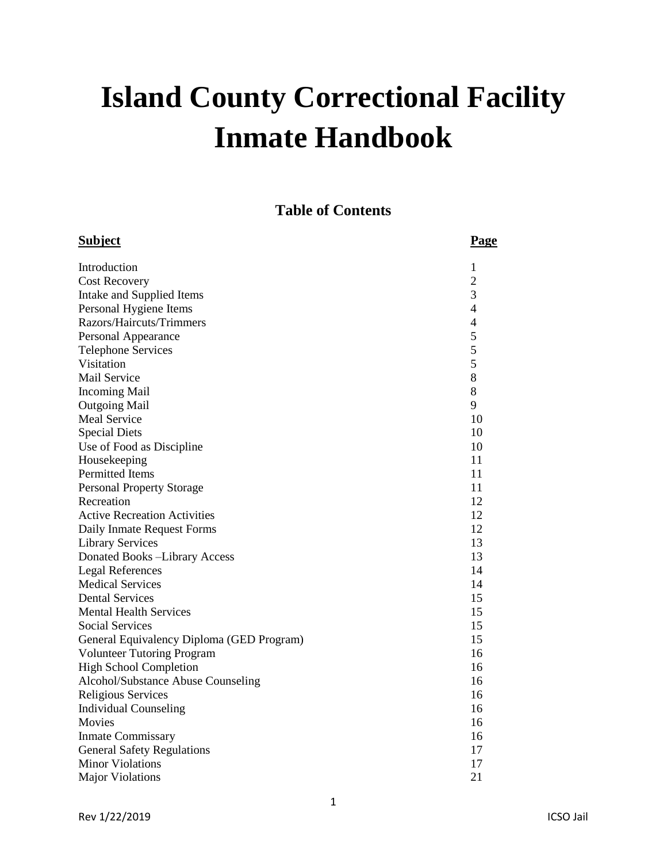# **Island County Correctional Facility Inmate Handbook**

**Table of Contents**

| <b>Subject</b>                            | <b>Page</b>              |
|-------------------------------------------|--------------------------|
| Introduction                              | 1                        |
| <b>Cost Recovery</b>                      | $\overline{c}$           |
| Intake and Supplied Items                 | 3                        |
| Personal Hygiene Items                    | $\overline{\mathcal{L}}$ |
| Razors/Haircuts/Trimmers                  | $\overline{4}$           |
| Personal Appearance                       | 5                        |
| <b>Telephone Services</b>                 | 5                        |
| Visitation                                | 5                        |
| Mail Service                              | 8                        |
| <b>Incoming Mail</b>                      | 8                        |
| <b>Outgoing Mail</b>                      | 9                        |
| <b>Meal Service</b>                       | 10                       |
| <b>Special Diets</b>                      | 10                       |
| Use of Food as Discipline                 | 10                       |
| Housekeeping                              | 11                       |
| Permitted Items                           | 11                       |
| <b>Personal Property Storage</b>          | 11                       |
| Recreation                                | 12                       |
| <b>Active Recreation Activities</b>       | 12                       |
| Daily Inmate Request Forms                | 12                       |
| <b>Library Services</b>                   | 13                       |
| Donated Books -Library Access             | 13                       |
| <b>Legal References</b>                   | 14                       |
| <b>Medical Services</b>                   | 14                       |
| <b>Dental Services</b>                    | 15                       |
| <b>Mental Health Services</b>             | 15                       |
| <b>Social Services</b>                    | 15                       |
| General Equivalency Diploma (GED Program) | 15                       |
| <b>Volunteer Tutoring Program</b>         | 16                       |
| <b>High School Completion</b>             | 16                       |
| Alcohol/Substance Abuse Counseling        | 16                       |
| <b>Religious Services</b>                 | 16                       |
| <b>Individual Counseling</b>              | 16                       |
| Movies                                    | 16                       |
| <b>Inmate Commissary</b>                  | 16                       |
| <b>General Safety Regulations</b>         | 17                       |
| <b>Minor Violations</b>                   | 17                       |
| <b>Major Violations</b>                   | 21                       |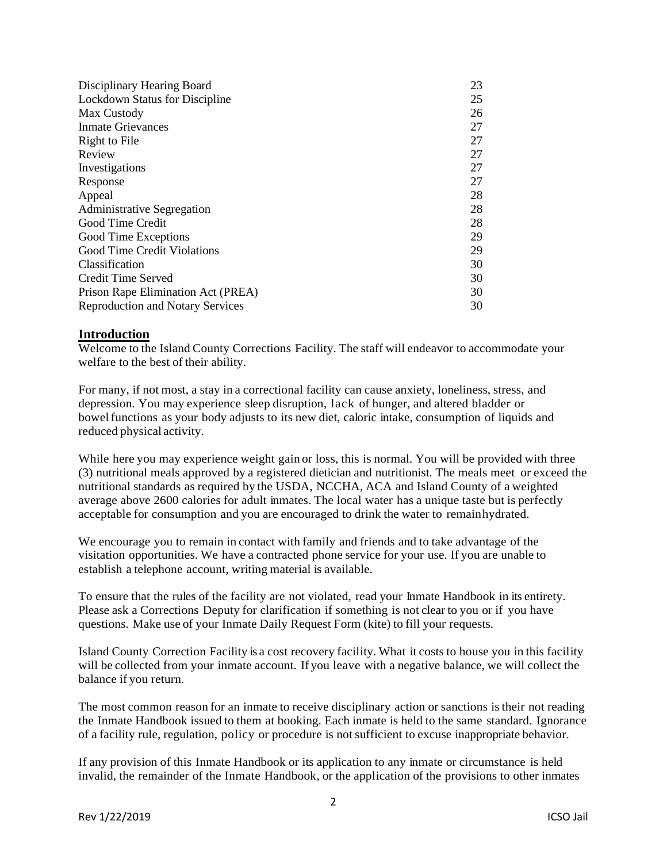| Disciplinary Hearing Board              | 23 |
|-----------------------------------------|----|
| Lockdown Status for Discipline          | 25 |
| Max Custody                             | 26 |
| <b>Inmate Grievances</b>                | 27 |
| Right to File                           | 27 |
| Review                                  | 27 |
| Investigations                          | 27 |
| Response                                | 27 |
| Appeal                                  | 28 |
| <b>Administrative Segregation</b>       | 28 |
| Good Time Credit                        | 28 |
| Good Time Exceptions                    | 29 |
| Good Time Credit Violations             | 29 |
| Classification                          | 30 |
| Credit Time Served                      | 30 |
| Prison Rape Elimination Act (PREA)      | 30 |
| <b>Reproduction and Notary Services</b> | 30 |

# **Introduction**

Welcome to the Island County Corrections Facility. The staff will endeavor to accommodate your welfare to the best of their ability.

For many, if not most, a stay in a correctional facility can cause anxiety, loneliness, stress, and depression. You may experience sleep disruption, lack of hunger, and altered bladder or bowel functions as your body adjusts to its new diet, caloric intake, consumption of liquids and reduced physical activity.

While here you may experience weight gain or loss, this is normal. You will be provided with three (3) nutritional meals approved by a registered dietician and nutritionist. The meals meet or exceed the nutritional standards as required by the USDA, NCCHA, ACA and Island County of a weighted average above 2600 calories for adult inmates. The local water has a unique taste but is perfectly acceptable for consumption and you are encouraged to drink the water to remainhydrated.

We encourage you to remain in contact with family and friends and to take advantage of the visitation opportunities. We have a contracted phone service for your use. If you are unable to establish a telephone account, writing material is available.

To ensure that the rules of the facility are not violated, read your Inmate Handbook in its entirety. Please ask a Corrections Deputy for clarification if something is not clear to you or if you have questions. Make use of your Inmate Daily Request Form (kite) to fill your requests.

Island County Correction Facility is a cost recovery facility. What it costs to house you in this facility will be collected from your inmate account. If you leave with a negative balance, we will collect the balance if you return.

The most common reason for an inmate to receive disciplinary action or sanctions istheir not reading the Inmate Handbook issued to them at booking. Each inmate is held to the same standard. Ignorance of a facility rule, regulation, policy or procedure is notsufficient to excuse inappropriate behavior.

If any provision of this Inmate Handbook or its application to any inmate or circumstance is held invalid, the remainder of the Inmate Handbook, or the application of the provisions to other inmates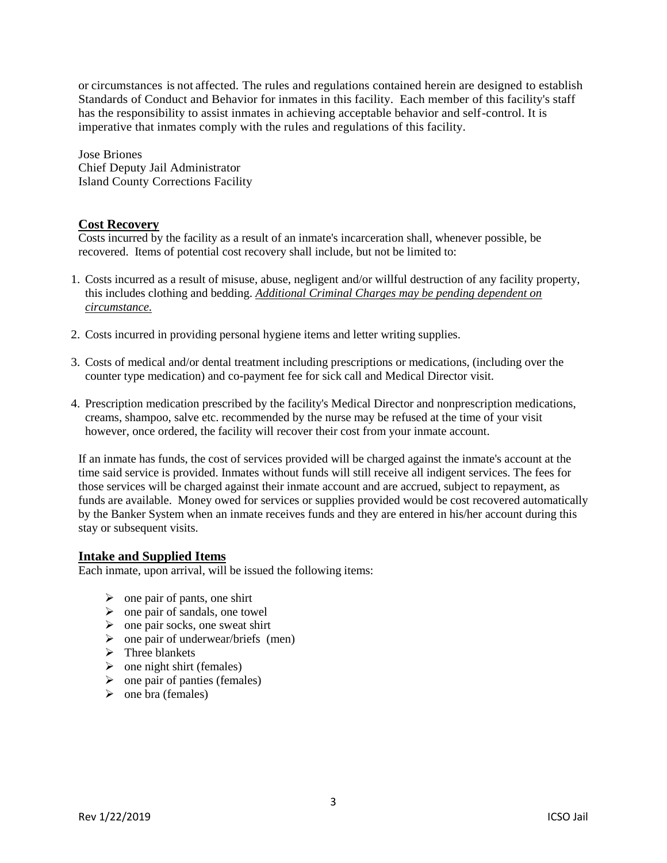or circumstances is not affected. The rules and regulations contained herein are designed to establish Standards of Conduct and Behavior for inmates in this facility. Each member of this facility's staff has the responsibility to assist inmates in achieving acceptable behavior and self-control. It is imperative that inmates comply with the rules and regulations of this facility.

Jose Briones Chief Deputy Jail Administrator Island County Corrections Facility

# **Cost Recovery**

Costs incurred by the facility as a result of an inmate's incarceration shall, whenever possible, be recovered. Items of potential cost recovery shall include, but not be limited to:

- 1. Costs incurred as a result of misuse, abuse, negligent and/or willful destruction of any facility property, this includes clothing and bedding. *Additional Criminal Charges may be pending dependent on circumstance.*
- 2. Costs incurred in providing personal hygiene items and letter writing supplies.
- 3. Costs of medical and/or dental treatment including prescriptions or medications, (including over the counter type medication) and co-payment fee for sick call and Medical Director visit.
- 4. Prescription medication prescribed by the facility's Medical Director and nonprescription medications, creams, shampoo, salve etc. recommended by the nurse may be refused at the time of your visit however, once ordered, the facility will recover their cost from your inmate account.

If an inmate has funds, the cost of services provided will be charged against the inmate's account at the time said service is provided. Inmates without funds will still receive all indigent services. The fees for those services will be charged against their inmate account and are accrued, subject to repayment, as funds are available. Money owed for services or supplies provided would be cost recovered automatically by the Banker System when an inmate receives funds and they are entered in his/her account during this stay or subsequent visits.

# **Intake and Supplied Items**

Each inmate, upon arrival, will be issued the following items:

- $\triangleright$  one pair of pants, one shirt
- $\triangleright$  one pair of sandals, one towel
- $\triangleright$  one pair socks, one sweat shirt
- $\triangleright$  one pair of underwear/briefs (men)
- $\triangleright$  Three blankets
- $\triangleright$  one night shirt (females)
- $\triangleright$  one pair of panties (females)
- $\triangleright$  one bra (females)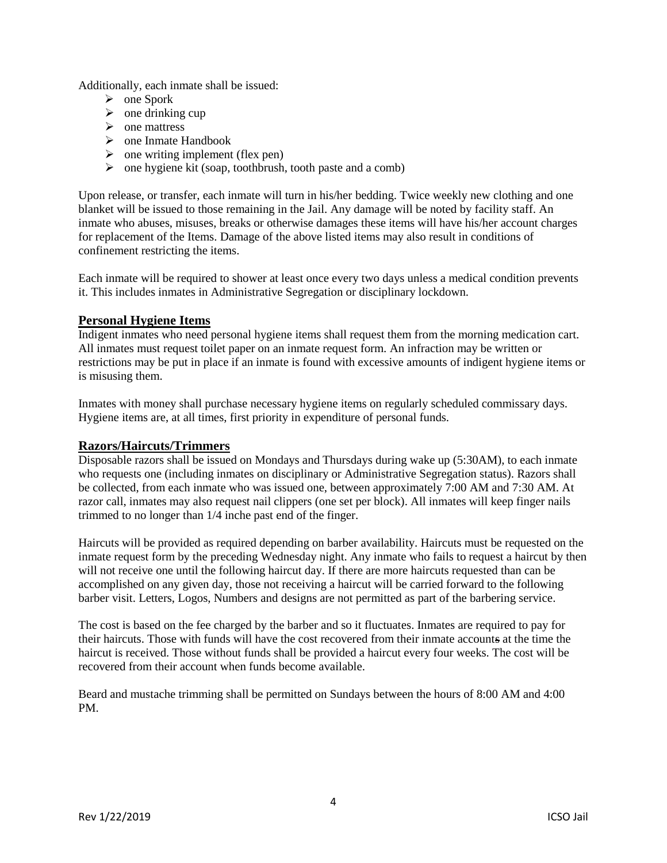Additionally, each inmate shall be issued:

- $\triangleright$  one Spork
- $\triangleright$  one drinking cup
- $\triangleright$  one mattress
- $\triangleright$  one Inmate Handbook
- $\triangleright$  one writing implement (flex pen)
- $\triangleright$  one hygiene kit (soap, toothbrush, tooth paste and a comb)

Upon release, or transfer, each inmate will turn in his/her bedding. Twice weekly new clothing and one blanket will be issued to those remaining in the Jail. Any damage will be noted by facility staff. An inmate who abuses, misuses, breaks or otherwise damages these items will have his/her account charges for replacement of the Items. Damage of the above listed items may also result in conditions of confinement restricting the items.

Each inmate will be required to shower at least once every two days unless a medical condition prevents it. This includes inmates in Administrative Segregation or disciplinary lockdown.

# **Personal Hygiene Items**

Indigent inmates who need personal hygiene items shall request them from the morning medication cart. All inmates must request toilet paper on an inmate request form. An infraction may be written or restrictions may be put in place if an inmate is found with excessive amounts of indigent hygiene items or is misusing them.

Inmates with money shall purchase necessary hygiene items on regularly scheduled commissary days. Hygiene items are, at all times, first priority in expenditure of personal funds.

# **Razors/Haircuts/Trimmers**

Disposable razors shall be issued on Mondays and Thursdays during wake up (5:30AM), to each inmate who requests one (including inmates on disciplinary or Administrative Segregation status). Razors shall be collected, from each inmate who was issued one, between approximately 7:00 AM and 7:30 AM. At razor call, inmates may also request nail clippers (one set per block). All inmates will keep finger nails trimmed to no longer than 1/4 inche past end of the finger.

Haircuts will be provided as required depending on barber availability. Haircuts must be requested on the inmate request form by the preceding Wednesday night. Any inmate who fails to request a haircut by then will not receive one until the following haircut day. If there are more haircuts requested than can be accomplished on any given day, those not receiving a haircut will be carried forward to the following barber visit. Letters, Logos, Numbers and designs are not permitted as part of the barbering service.

The cost is based on the fee charged by the barber and so it fluctuates. Inmates are required to pay for their haircuts. Those with funds will have the cost recovered from their inmate accounts at the time the haircut is received. Those without funds shall be provided a haircut every four weeks. The cost will be recovered from their account when funds become available.

Beard and mustache trimming shall be permitted on Sundays between the hours of 8:00 AM and 4:00 PM.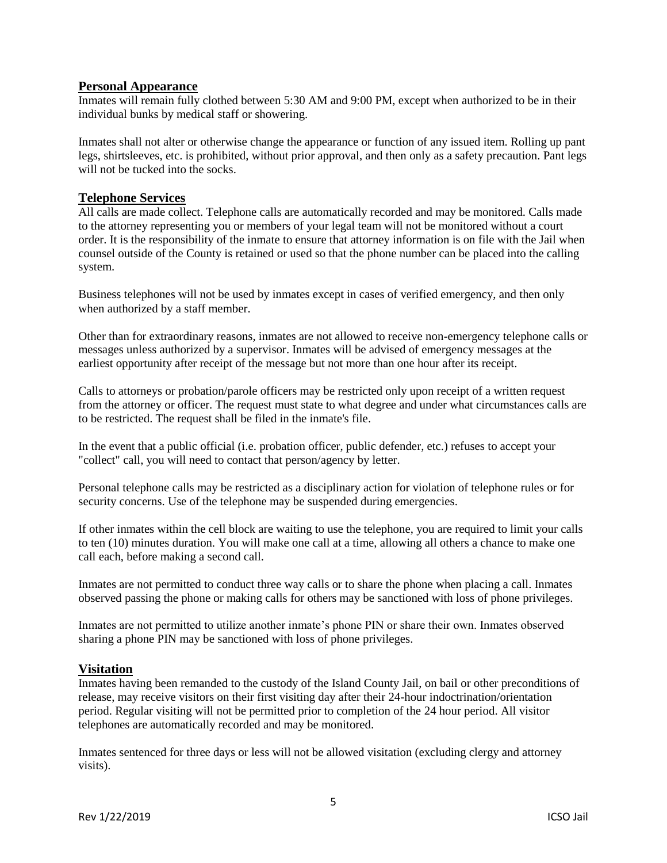# **Personal Appearance**

Inmates will remain fully clothed between 5:30 AM and 9:00 PM, except when authorized to be in their individual bunks by medical staff or showering.

Inmates shall not alter or otherwise change the appearance or function of any issued item. Rolling up pant legs, shirtsleeves, etc. is prohibited, without prior approval, and then only as a safety precaution. Pant legs will not be tucked into the socks.

# **Telephone Services**

All calls are made collect. Telephone calls are automatically recorded and may be monitored. Calls made to the attorney representing you or members of your legal team will not be monitored without a court order. It is the responsibility of the inmate to ensure that attorney information is on file with the Jail when counsel outside of the County is retained or used so that the phone number can be placed into the calling system.

Business telephones will not be used by inmates except in cases of verified emergency, and then only when authorized by a staff member.

Other than for extraordinary reasons, inmates are not allowed to receive non-emergency telephone calls or messages unless authorized by a supervisor. Inmates will be advised of emergency messages at the earliest opportunity after receipt of the message but not more than one hour after its receipt.

Calls to attorneys or probation/parole officers may be restricted only upon receipt of a written request from the attorney or officer. The request must state to what degree and under what circumstances calls are to be restricted. The request shall be filed in the inmate's file.

In the event that a public official (i.e. probation officer, public defender, etc.) refuses to accept your "collect" call, you will need to contact that person/agency by letter.

Personal telephone calls may be restricted as a disciplinary action for violation of telephone rules or for security concerns. Use of the telephone may be suspended during emergencies.

If other inmates within the cell block are waiting to use the telephone, you are required to limit your calls to ten (10) minutes duration. You will make one call at a time, allowing all others a chance to make one call each, before making a second call.

Inmates are not permitted to conduct three way calls or to share the phone when placing a call. Inmates observed passing the phone or making calls for others may be sanctioned with loss of phone privileges.

Inmates are not permitted to utilize another inmate's phone PIN or share their own. Inmates observed sharing a phone PIN may be sanctioned with loss of phone privileges.

### **Visitation**

Inmates having been remanded to the custody of the Island County Jail, on bail or other preconditions of release, may receive visitors on their first visiting day after their 24-hour indoctrination/orientation period. Regular visiting will not be permitted prior to completion of the 24 hour period. All visitor telephones are automatically recorded and may be monitored.

Inmates sentenced for three days or less will not be allowed visitation (excluding clergy and attorney visits).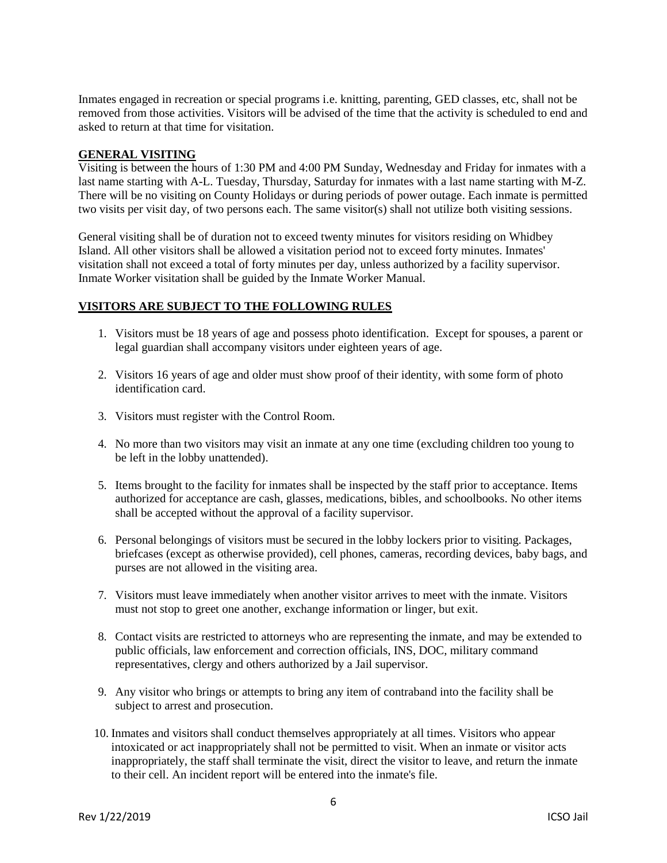Inmates engaged in recreation or special programs i.e. knitting, parenting, GED classes, etc, shall not be removed from those activities. Visitors will be advised of the time that the activity is scheduled to end and asked to return at that time for visitation.

# **GENERAL VISITING**

Visiting is between the hours of 1:30 PM and 4:00 PM Sunday, Wednesday and Friday for inmates with a last name starting with A-L. Tuesday, Thursday, Saturday for inmates with a last name starting with M-Z. There will be no visiting on County Holidays or during periods of power outage. Each inmate is permitted two visits per visit day, of two persons each. The same visitor(s) shall not utilize both visiting sessions.

General visiting shall be of duration not to exceed twenty minutes for visitors residing on Whidbey Island. All other visitors shall be allowed a visitation period not to exceed forty minutes. Inmates' visitation shall not exceed a total of forty minutes per day, unless authorized by a facility supervisor. Inmate Worker visitation shall be guided by the Inmate Worker Manual.

### **VISITORS ARE SUBJECT TO THE FOLLOWING RULES**

- 1. Visitors must be 18 years of age and possess photo identification. Except for spouses, a parent or legal guardian shall accompany visitors under eighteen years of age.
- 2. Visitors 16 years of age and older must show proof of their identity, with some form of photo identification card.
- 3. Visitors must register with the Control Room.
- 4. No more than two visitors may visit an inmate at any one time (excluding children too young to be left in the lobby unattended).
- 5. Items brought to the facility for inmates shall be inspected by the staff prior to acceptance. Items authorized for acceptance are cash, glasses, medications, bibles, and schoolbooks. No other items shall be accepted without the approval of a facility supervisor.
- 6. Personal belongings of visitors must be secured in the lobby lockers prior to visiting. Packages, briefcases (except as otherwise provided), cell phones, cameras, recording devices, baby bags, and purses are not allowed in the visiting area.
- 7. Visitors must leave immediately when another visitor arrives to meet with the inmate. Visitors must not stop to greet one another, exchange information or linger, but exit.
- 8. Contact visits are restricted to attorneys who are representing the inmate, and may be extended to public officials, law enforcement and correction officials, INS, DOC, military command representatives, clergy and others authorized by a Jail supervisor.
- 9. Any visitor who brings or attempts to bring any item of contraband into the facility shall be subject to arrest and prosecution.
- 10. Inmates and visitors shall conduct themselves appropriately at all times. Visitors who appear intoxicated or act inappropriately shall not be permitted to visit. When an inmate or visitor acts inappropriately, the staff shall terminate the visit, direct the visitor to leave, and return the inmate to their cell. An incident report will be entered into the inmate's file.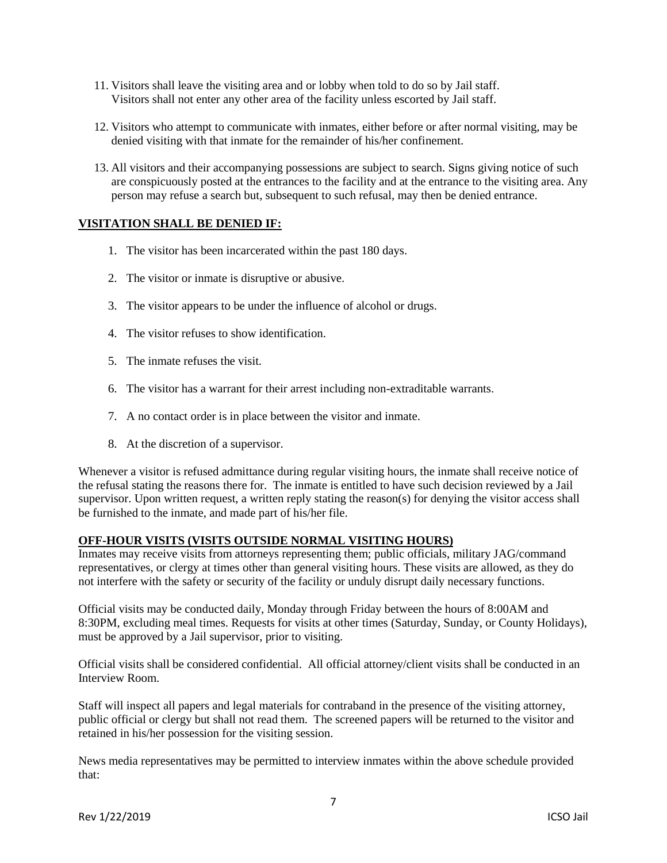- 11. Visitors shall leave the visiting area and or lobby when told to do so by Jail staff. Visitors shall not enter any other area of the facility unless escorted by Jail staff.
- 12. Visitors who attempt to communicate with inmates, either before or after normal visiting, may be denied visiting with that inmate for the remainder of his/her confinement.
- 13. All visitors and their accompanying possessions are subject to search. Signs giving notice of such are conspicuously posted at the entrances to the facility and at the entrance to the visiting area. Any person may refuse a search but, subsequent to such refusal, may then be denied entrance.

# **VISITATION SHALL BE DENIED IF:**

- 1. The visitor has been incarcerated within the past 180 days.
- 2. The visitor or inmate is disruptive or abusive.
- 3. The visitor appears to be under the influence of alcohol or drugs.
- 4. The visitor refuses to show identification.
- 5. The inmate refuses the visit.
- 6. The visitor has a warrant for their arrest including non-extraditable warrants.
- 7. A no contact order is in place between the visitor and inmate.
- 8. At the discretion of a supervisor.

Whenever a visitor is refused admittance during regular visiting hours, the inmate shall receive notice of the refusal stating the reasons there for. The inmate is entitled to have such decision reviewed by a Jail supervisor. Upon written request, a written reply stating the reason(s) for denying the visitor access shall be furnished to the inmate, and made part of his/her file.

### **OFF-HOUR VISITS (VISITS OUTSIDE NORMAL VISITING HOURS)**

Inmates may receive visits from attorneys representing them; public officials, military JAG/command representatives, or clergy at times other than general visiting hours. These visits are allowed, as they do not interfere with the safety or security of the facility or unduly disrupt daily necessary functions.

Official visits may be conducted daily, Monday through Friday between the hours of 8:00AM and 8:30PM, excluding meal times. Requests for visits at other times (Saturday, Sunday, or County Holidays), must be approved by a Jail supervisor, prior to visiting.

Official visits shall be considered confidential. All official attorney/client visits shall be conducted in an Interview Room.

Staff will inspect all papers and legal materials for contraband in the presence of the visiting attorney, public official or clergy but shall not read them. The screened papers will be returned to the visitor and retained in his/her possession for the visiting session.

News media representatives may be permitted to interview inmates within the above schedule provided that: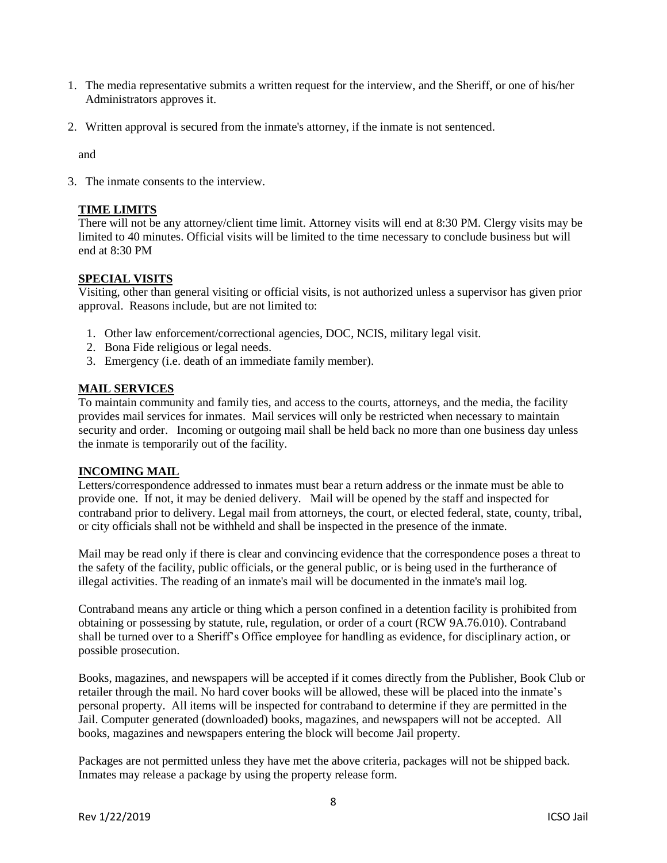- 1. The media representative submits a written request for the interview, and the Sheriff, or one of his/her Administrators approves it.
- 2. Written approval is secured from the inmate's attorney, if the inmate is not sentenced.

and

3. The inmate consents to the interview.

# **TIME LIMITS**

There will not be any attorney/client time limit. Attorney visits will end at 8:30 PM. Clergy visits may be limited to 40 minutes. Official visits will be limited to the time necessary to conclude business but will end at 8:30 PM

# **SPECIAL VISITS**

Visiting, other than general visiting or official visits, is not authorized unless a supervisor has given prior approval. Reasons include, but are not limited to:

- 1. Other law enforcement/correctional agencies, DOC, NCIS, military legal visit.
- 2. Bona Fide religious or legal needs.
- 3. Emergency (i.e. death of an immediate family member).

# **MAIL SERVICES**

To maintain community and family ties, and access to the courts, attorneys, and the media, the facility provides mail services for inmates. Mail services will only be restricted when necessary to maintain security and order. Incoming or outgoing mail shall be held back no more than one business day unless the inmate is temporarily out of the facility.

### **INCOMING MAIL**

Letters/correspondence addressed to inmates must bear a return address or the inmate must be able to provide one. If not, it may be denied delivery. Mail will be opened by the staff and inspected for contraband prior to delivery. Legal mail from attorneys, the court, or elected federal, state, county, tribal, or city officials shall not be withheld and shall be inspected in the presence of the inmate.

Mail may be read only if there is clear and convincing evidence that the correspondence poses a threat to the safety of the facility, public officials, or the general public, or is being used in the furtherance of illegal activities. The reading of an inmate's mail will be documented in the inmate's mail log.

Contraband means any article or thing which a person confined in a detention facility is prohibited from obtaining or possessing by statute, rule, regulation, or order of a court (RCW 9A.76.010). Contraband shall be turned over to a Sheriff's Office employee for handling as evidence, for disciplinary action, or possible prosecution.

Books, magazines, and newspapers will be accepted if it comes directly from the Publisher, Book Club or retailer through the mail. No hard cover books will be allowed, these will be placed into the inmate's personal property. All items will be inspected for contraband to determine if they are permitted in the Jail. Computer generated (downloaded) books, magazines, and newspapers will not be accepted. All books, magazines and newspapers entering the block will become Jail property.

Packages are not permitted unless they have met the above criteria, packages will not be shipped back. Inmates may release a package by using the property release form.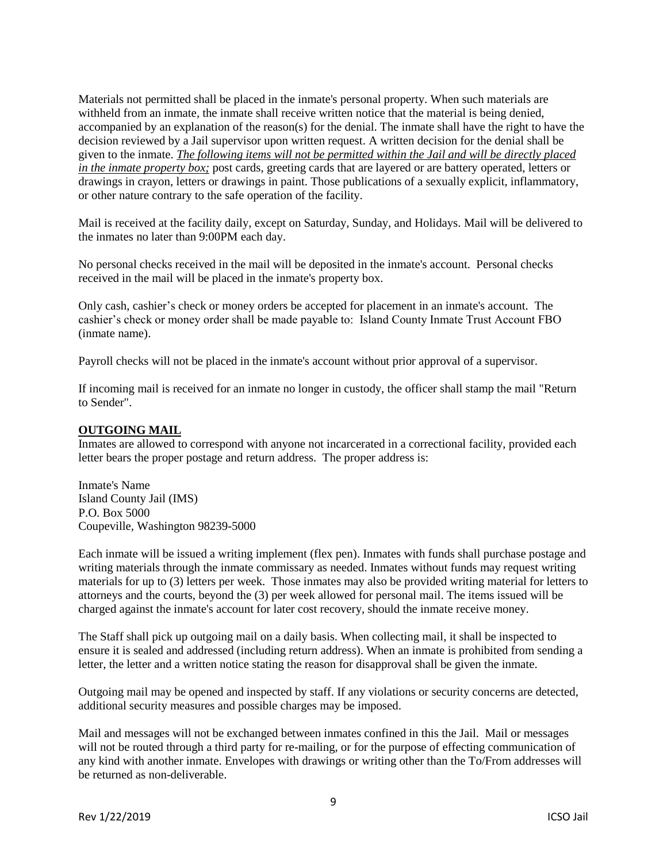Materials not permitted shall be placed in the inmate's personal property. When such materials are withheld from an inmate, the inmate shall receive written notice that the material is being denied, accompanied by an explanation of the reason(s) for the denial. The inmate shall have the right to have the decision reviewed by a Jail supervisor upon written request. A written decision for the denial shall be given to the inmate. *The following items will not be permitted within the Jail and will be directly placed in the inmate property box;* post cards, greeting cards that are layered or are battery operated, letters or drawings in crayon, letters or drawings in paint. Those publications of a sexually explicit, inflammatory, or other nature contrary to the safe operation of the facility.

Mail is received at the facility daily, except on Saturday, Sunday, and Holidays. Mail will be delivered to the inmates no later than 9:00PM each day.

No personal checks received in the mail will be deposited in the inmate's account. Personal checks received in the mail will be placed in the inmate's property box.

Only cash, cashier's check or money orders be accepted for placement in an inmate's account. The cashier's check or money order shall be made payable to: Island County Inmate Trust Account FBO (inmate name).

Payroll checks will not be placed in the inmate's account without prior approval of a supervisor.

If incoming mail is received for an inmate no longer in custody, the officer shall stamp the mail "Return to Sender".

#### **OUTGOING MAIL**

Inmates are allowed to correspond with anyone not incarcerated in a correctional facility, provided each letter bears the proper postage and return address. The proper address is:

Inmate's Name Island County Jail (IMS) P.O. Box 5000 Coupeville, Washington 98239-5000

Each inmate will be issued a writing implement (flex pen). Inmates with funds shall purchase postage and writing materials through the inmate commissary as needed. Inmates without funds may request writing materials for up to (3) letters per week. Those inmates may also be provided writing material for letters to attorneys and the courts, beyond the (3) per week allowed for personal mail. The items issued will be charged against the inmate's account for later cost recovery, should the inmate receive money.

The Staff shall pick up outgoing mail on a daily basis. When collecting mail, it shall be inspected to ensure it is sealed and addressed (including return address). When an inmate is prohibited from sending a letter, the letter and a written notice stating the reason for disapproval shall be given the inmate.

Outgoing mail may be opened and inspected by staff. If any violations or security concerns are detected, additional security measures and possible charges may be imposed.

Mail and messages will not be exchanged between inmates confined in this the Jail. Mail or messages will not be routed through a third party for re-mailing, or for the purpose of effecting communication of any kind with another inmate. Envelopes with drawings or writing other than the To/From addresses will be returned as non-deliverable.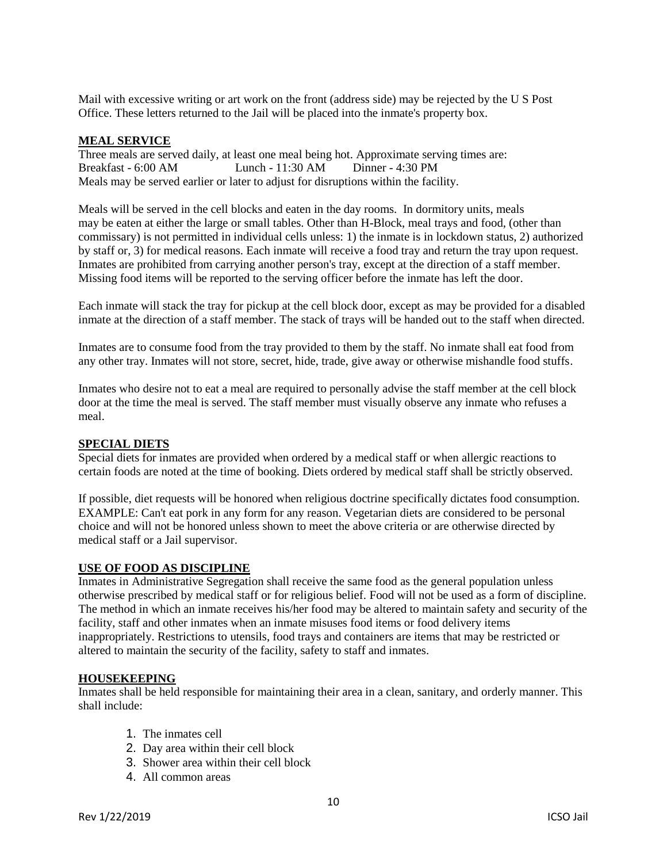Mail with excessive writing or art work on the front (address side) may be rejected by the U S Post Office. These letters returned to the Jail will be placed into the inmate's property box.

### **MEAL SERVICE**

Three meals are served daily, at least one meal being hot. Approximate serving times are: Breakfast - 6:00 AM Lunch - 11:30 AM Dinner - 4:30 PM Meals may be served earlier or later to adjust for disruptions within the facility.

Meals will be served in the cell blocks and eaten in the day rooms. In dormitory units, meals may be eaten at either the large or small tables. Other than H-Block, meal trays and food, (other than commissary) is not permitted in individual cells unless: 1) the inmate is in lockdown status, 2) authorized by staff or, 3) for medical reasons. Each inmate will receive a food tray and return the tray upon request. Inmates are prohibited from carrying another person's tray, except at the direction of a staff member. Missing food items will be reported to the serving officer before the inmate has left the door.

Each inmate will stack the tray for pickup at the cell block door, except as may be provided for a disabled inmate at the direction of a staff member. The stack of trays will be handed out to the staff when directed.

Inmates are to consume food from the tray provided to them by the staff. No inmate shall eat food from any other tray. Inmates will not store, secret, hide, trade, give away or otherwise mishandle food stuffs.

Inmates who desire not to eat a meal are required to personally advise the staff member at the cell block door at the time the meal is served. The staff member must visually observe any inmate who refuses a meal.

### **SPECIAL DIETS**

Special diets for inmates are provided when ordered by a medical staff or when allergic reactions to certain foods are noted at the time of booking. Diets ordered by medical staff shall be strictly observed.

If possible, diet requests will be honored when religious doctrine specifically dictates food consumption. EXAMPLE: Can't eat pork in any form for any reason. Vegetarian diets are considered to be personal choice and will not be honored unless shown to meet the above criteria or are otherwise directed by medical staff or a Jail supervisor.

#### **USE OF FOOD AS DISCIPLINE**

Inmates in Administrative Segregation shall receive the same food as the general population unless otherwise prescribed by medical staff or for religious belief. Food will not be used as a form of discipline. The method in which an inmate receives his/her food may be altered to maintain safety and security of the facility, staff and other inmates when an inmate misuses food items or food delivery items inappropriately. Restrictions to utensils, food trays and containers are items that may be restricted or altered to maintain the security of the facility, safety to staff and inmates.

#### **HOUSEKEEPING**

Inmates shall be held responsible for maintaining their area in a clean, sanitary, and orderly manner. This shall include:

- 1. The inmates cell
- 2. Day area within their cell block
- 3. Shower area within their cell block
- 4. All common areas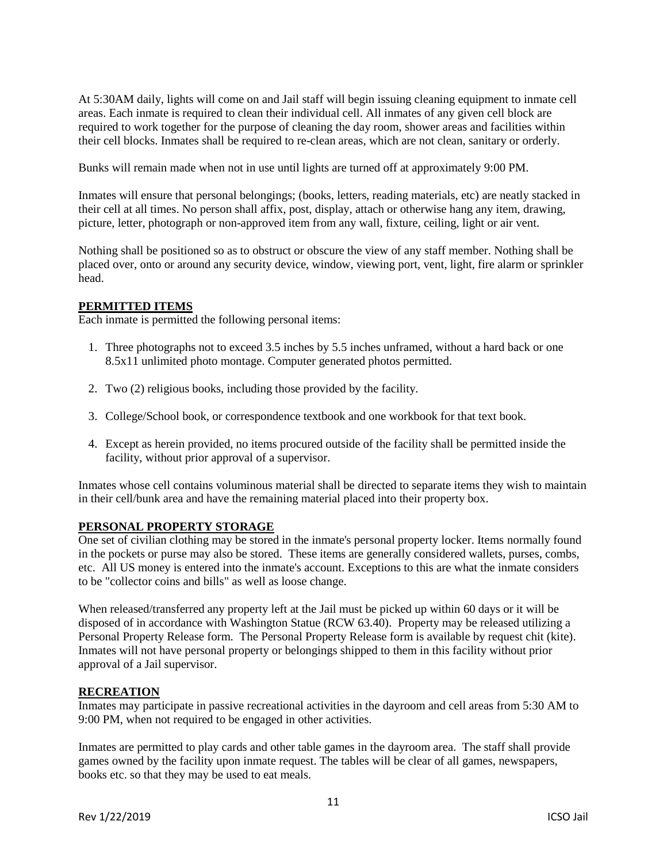At 5:30AM daily, lights will come on and Jail staff will begin issuing cleaning equipment to inmate cell areas. Each inmate is required to clean their individual cell. All inmates of any given cell block are required to work together for the purpose of cleaning the day room, shower areas and facilities within their cell blocks. Inmates shall be required to re-clean areas, which are not clean, sanitary or orderly.

Bunks will remain made when not in use until lights are turned off at approximately 9:00 PM.

Inmates will ensure that personal belongings; (books, letters, reading materials, etc) are neatly stacked in their cell at all times. No person shall affix, post, display, attach or otherwise hang any item, drawing, picture, letter, photograph or non-approved item from any wall, fixture, ceiling, light or air vent.

Nothing shall be positioned so as to obstruct or obscure the view of any staff member. Nothing shall be placed over, onto or around any security device, window, viewing port, vent, light, fire alarm or sprinkler head.

### **PERMITTED ITEMS**

Each inmate is permitted the following personal items:

- 1. Three photographs not to exceed 3.5 inches by 5.5 inches unframed, without a hard back or one 8.5x11 unlimited photo montage. Computer generated photos permitted.
- 2. Two (2) religious books, including those provided by the facility.
- 3. College/School book, or correspondence textbook and one workbook for that text book.
- 4. Except as herein provided, no items procured outside of the facility shall be permitted inside the facility, without prior approval of a supervisor.

Inmates whose cell contains voluminous material shall be directed to separate items they wish to maintain in their cell/bunk area and have the remaining material placed into their property box.

### **PERSONAL PROPERTY STORAGE**

One set of civilian clothing may be stored in the inmate's personal property locker. Items normally found in the pockets or purse may also be stored. These items are generally considered wallets, purses, combs, etc. All US money is entered into the inmate's account. Exceptions to this are what the inmate considers to be "collector coins and bills" as well as loose change.

When released/transferred any property left at the Jail must be picked up within 60 days or it will be disposed of in accordance with Washington Statue (RCW 63.40). Property may be released utilizing a Personal Property Release form. The Personal Property Release form is available by request chit (kite). Inmates will not have personal property or belongings shipped to them in this facility without prior approval of a Jail supervisor.

# **RECREATION**

Inmates may participate in passive recreational activities in the dayroom and cell areas from 5:30 AM to 9:00 PM, when not required to be engaged in other activities.

Inmates are permitted to play cards and other table games in the dayroom area. The staff shall provide games owned by the facility upon inmate request. The tables will be clear of all games, newspapers, books etc. so that they may be used to eat meals.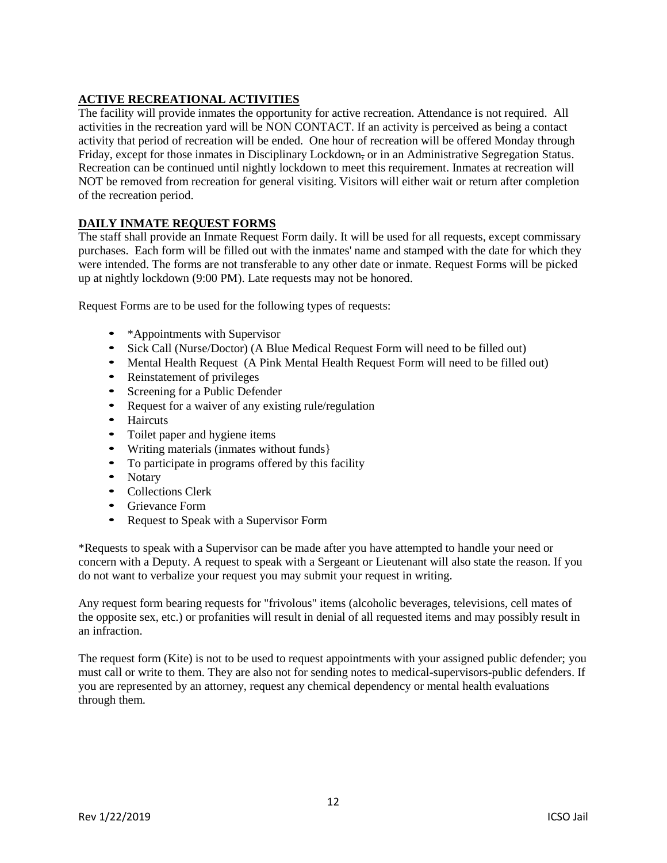# **ACTIVE RECREATIONAL ACTIVITIES**

The facility will provide inmates the opportunity for active recreation. Attendance is not required. All activities in the recreation yard will be NON CONTACT. If an activity is perceived as being a contact activity that period of recreation will be ended. One hour of recreation will be offered Monday through Friday, except for those inmates in Disciplinary Lockdown, or in an Administrative Segregation Status. Recreation can be continued until nightly lockdown to meet this requirement. Inmates at recreation will NOT be removed from recreation for general visiting. Visitors will either wait or return after completion of the recreation period.

# **DAILY INMATE REQUEST FORMS**

The staff shall provide an Inmate Request Form daily. It will be used for all requests, except commissary purchases. Each form will be filled out with the inmates' name and stamped with the date for which they were intended. The forms are not transferable to any other date or inmate. Request Forms will be picked up at nightly lockdown (9:00 PM). Late requests may not be honored.

Request Forms are to be used for the following types of requests:

- \*Appointments with Supervisor
- Sick Call (Nurse/Doctor) (A Blue Medical Request Form will need to be filled out)
- Mental Health Request (A Pink Mental Health Request Form will need to be filled out)
- Reinstatement of privileges
- Screening for a Public Defender
- Request for a waiver of any existing rule/regulation
- Haircuts
- Toilet paper and hygiene items
- Writing materials (inmates without funds}
- To participate in programs offered by this facility
- Notary
- Collections Clerk
- Grievance Form
- Request to Speak with a Supervisor Form

\*Requests to speak with a Supervisor can be made after you have attempted to handle your need or concern with a Deputy. A request to speak with a Sergeant or Lieutenant will also state the reason. If you do not want to verbalize your request you may submit your request in writing.

Any request form bearing requests for "frivolous" items (alcoholic beverages, televisions, cell mates of the opposite sex, etc.) or profanities will result in denial of all requested items and may possibly result in an infraction.

The request form (Kite) is not to be used to request appointments with your assigned public defender; you must call or write to them. They are also not for sending notes to medical-supervisors-public defenders. If you are represented by an attorney, request any chemical dependency or mental health evaluations through them.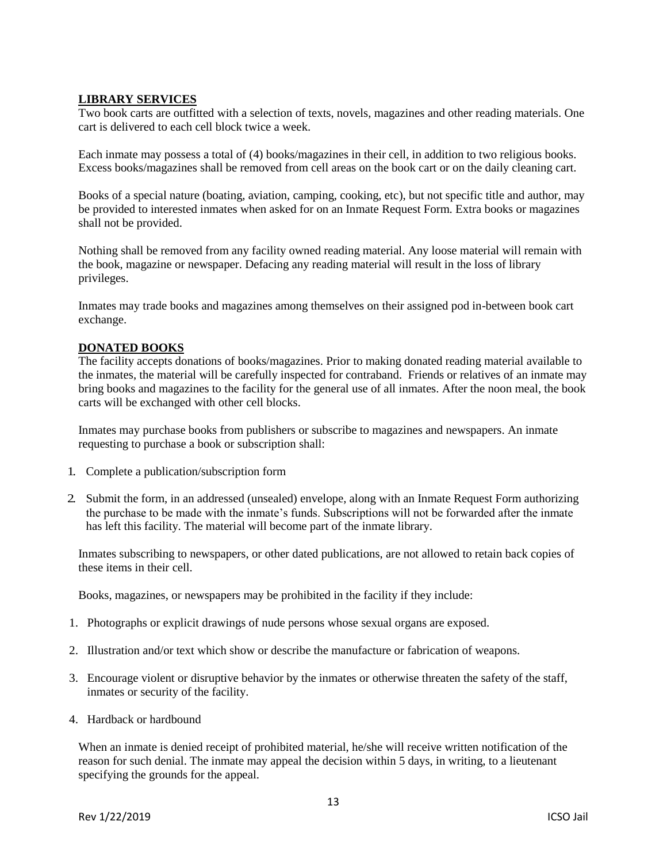# **LIBRARY SERVICES**

Two book carts are outfitted with a selection of texts, novels, magazines and other reading materials. One cart is delivered to each cell block twice a week.

Each inmate may possess a total of (4) books/magazines in their cell, in addition to two religious books. Excess books/magazines shall be removed from cell areas on the book cart or on the daily cleaning cart.

Books of a special nature (boating, aviation, camping, cooking, etc), but not specific title and author, may be provided to interested inmates when asked for on an Inmate Request Form. Extra books or magazines shall not be provided.

Nothing shall be removed from any facility owned reading material. Any loose material will remain with the book, magazine or newspaper. Defacing any reading material will result in the loss of library privileges.

Inmates may trade books and magazines among themselves on their assigned pod in-between book cart exchange.

### **DONATED BOOKS**

The facility accepts donations of books/magazines. Prior to making donated reading material available to the inmates, the material will be carefully inspected for contraband. Friends or relatives of an inmate may bring books and magazines to the facility for the general use of all inmates. After the noon meal, the book carts will be exchanged with other cell blocks.

Inmates may purchase books from publishers or subscribe to magazines and newspapers. An inmate requesting to purchase a book or subscription shall:

- 1. Complete a publication/subscription form
- 2. Submit the form, in an addressed (unsealed) envelope, along with an Inmate Request Form authorizing the purchase to be made with the inmate's funds. Subscriptions will not be forwarded after the inmate has left this facility. The material will become part of the inmate library.

Inmates subscribing to newspapers, or other dated publications, are not allowed to retain back copies of these items in their cell.

Books, magazines, or newspapers may be prohibited in the facility if they include:

- 1. Photographs or explicit drawings of nude persons whose sexual organs are exposed.
- 2. Illustration and/or text which show or describe the manufacture or fabrication of weapons.
- 3. Encourage violent or disruptive behavior by the inmates or otherwise threaten the safety of the staff, inmates or security of the facility.
- 4. Hardback or hardbound

When an inmate is denied receipt of prohibited material, he/she will receive written notification of the reason for such denial. The inmate may appeal the decision within 5 days, in writing, to a lieutenant specifying the grounds for the appeal.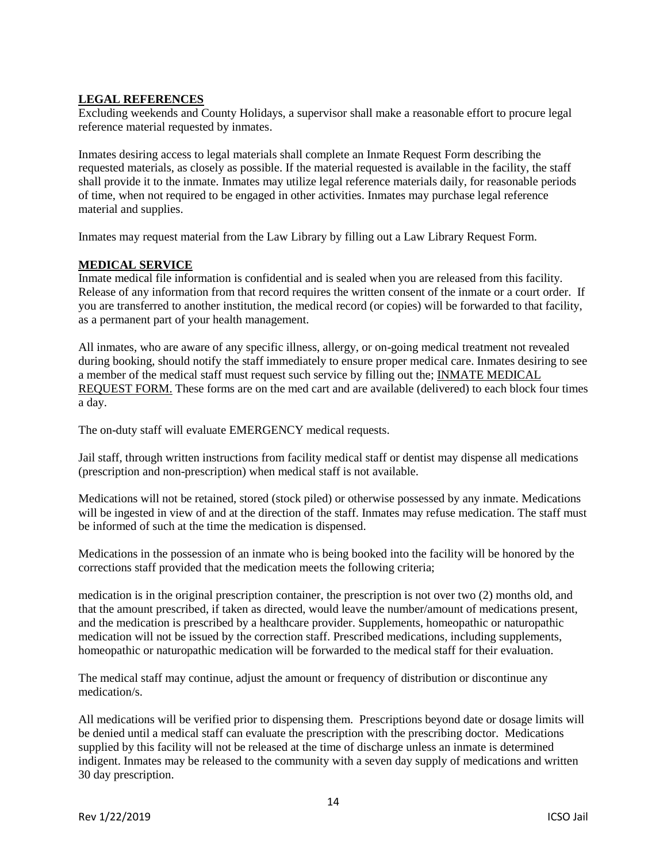# **LEGAL REFERENCES**

Excluding weekends and County Holidays, a supervisor shall make a reasonable effort to procure legal reference material requested by inmates.

Inmates desiring access to legal materials shall complete an Inmate Request Form describing the requested materials, as closely as possible. If the material requested is available in the facility, the staff shall provide it to the inmate. Inmates may utilize legal reference materials daily, for reasonable periods of time, when not required to be engaged in other activities. Inmates may purchase legal reference material and supplies.

Inmates may request material from the Law Library by filling out a Law Library Request Form.

# **MEDICAL SERVICE**

Inmate medical file information is confidential and is sealed when you are released from this facility. Release of any information from that record requires the written consent of the inmate or a court order. If you are transferred to another institution, the medical record (or copies) will be forwarded to that facility, as a permanent part of your health management.

All inmates, who are aware of any specific illness, allergy, or on-going medical treatment not revealed during booking, should notify the staff immediately to ensure proper medical care. Inmates desiring to see a member of the medical staff must request such service by filling out the; INMATE MEDICAL REQUEST FORM. These forms are on the med cart and are available (delivered) to each block four times a day.

The on-duty staff will evaluate EMERGENCY medical requests.

Jail staff, through written instructions from facility medical staff or dentist may dispense all medications (prescription and non-prescription) when medical staff is not available.

Medications will not be retained, stored (stock piled) or otherwise possessed by any inmate. Medications will be ingested in view of and at the direction of the staff. Inmates may refuse medication. The staff must be informed of such at the time the medication is dispensed.

Medications in the possession of an inmate who is being booked into the facility will be honored by the corrections staff provided that the medication meets the following criteria;

medication is in the original prescription container, the prescription is not over two (2) months old, and that the amount prescribed, if taken as directed, would leave the number/amount of medications present, and the medication is prescribed by a healthcare provider. Supplements, homeopathic or naturopathic medication will not be issued by the correction staff. Prescribed medications, including supplements, homeopathic or naturopathic medication will be forwarded to the medical staff for their evaluation.

The medical staff may continue, adjust the amount or frequency of distribution or discontinue any medication/s.

All medications will be verified prior to dispensing them. Prescriptions beyond date or dosage limits will be denied until a medical staff can evaluate the prescription with the prescribing doctor. Medications supplied by this facility will not be released at the time of discharge unless an inmate is determined indigent. Inmates may be released to the community with a seven day supply of medications and written 30 day prescription.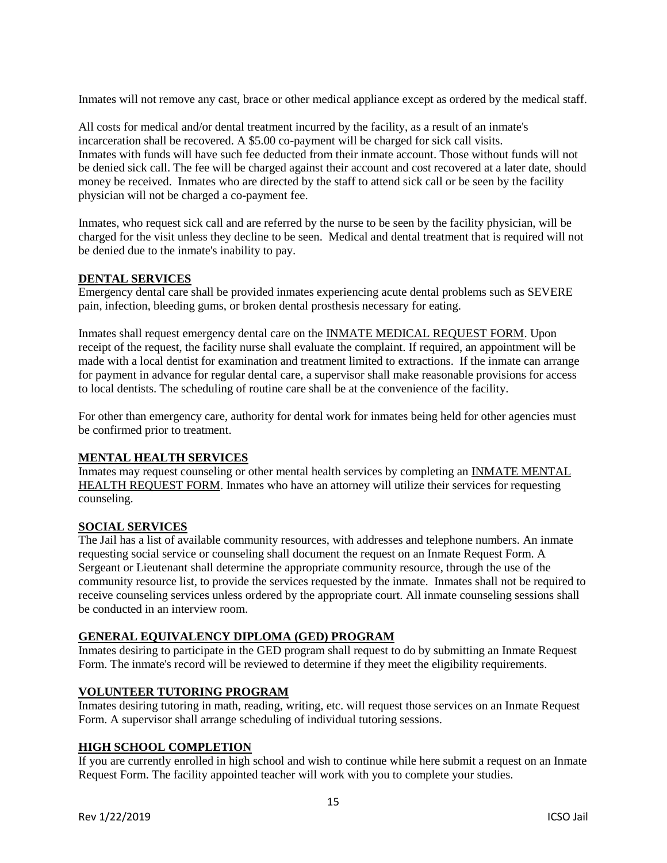Inmates will not remove any cast, brace or other medical appliance except as ordered by the medical staff.

All costs for medical and/or dental treatment incurred by the facility, as a result of an inmate's incarceration shall be recovered. A \$5.00 co-payment will be charged for sick call visits. Inmates with funds will have such fee deducted from their inmate account. Those without funds will not be denied sick call. The fee will be charged against their account and cost recovered at a later date, should money be received. Inmates who are directed by the staff to attend sick call or be seen by the facility physician will not be charged a co-payment fee.

Inmates, who request sick call and are referred by the nurse to be seen by the facility physician, will be charged for the visit unless they decline to be seen. Medical and dental treatment that is required will not be denied due to the inmate's inability to pay.

# **DENTAL SERVICES**

Emergency dental care shall be provided inmates experiencing acute dental problems such as SEVERE pain, infection, bleeding gums, or broken dental prosthesis necessary for eating.

Inmates shall request emergency dental care on the INMATE MEDICAL REQUEST FORM. Upon receipt of the request, the facility nurse shall evaluate the complaint. If required, an appointment will be made with a local dentist for examination and treatment limited to extractions. If the inmate can arrange for payment in advance for regular dental care, a supervisor shall make reasonable provisions for access to local dentists. The scheduling of routine care shall be at the convenience of the facility.

For other than emergency care, authority for dental work for inmates being held for other agencies must be confirmed prior to treatment.

### **MENTAL HEALTH SERVICES**

Inmates may request counseling or other mental health services by completing an INMATE MENTAL HEALTH REQUEST FORM. Inmates who have an attorney will utilize their services for requesting counseling.

### **SOCIAL SERVICES**

The Jail has a list of available community resources, with addresses and telephone numbers. An inmate requesting social service or counseling shall document the request on an Inmate Request Form. A Sergeant or Lieutenant shall determine the appropriate community resource, through the use of the community resource list, to provide the services requested by the inmate. Inmates shall not be required to receive counseling services unless ordered by the appropriate court. All inmate counseling sessions shall be conducted in an interview room.

### **GENERAL EQUIVALENCY DIPLOMA (GED) PROGRAM**

Inmates desiring to participate in the GED program shall request to do by submitting an Inmate Request Form. The inmate's record will be reviewed to determine if they meet the eligibility requirements.

# **VOLUNTEER TUTORING PROGRAM**

Inmates desiring tutoring in math, reading, writing, etc. will request those services on an Inmate Request Form. A supervisor shall arrange scheduling of individual tutoring sessions.

# **HIGH SCHOOL COMPLETION**

If you are currently enrolled in high school and wish to continue while here submit a request on an Inmate Request Form. The facility appointed teacher will work with you to complete your studies.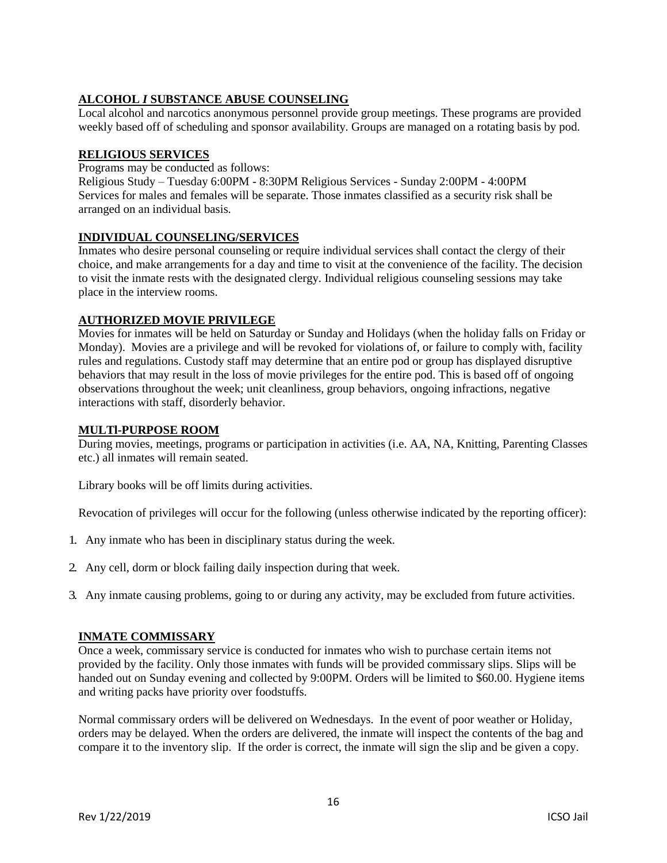# **ALCOHOL** *I* **SUBSTANCE ABUSE COUNSELING**

Local alcohol and narcotics anonymous personnel provide group meetings. These programs are provided weekly based off of scheduling and sponsor availability. Groups are managed on a rotating basis by pod.

# **RELIGIOUS SERVICES**

Programs may be conducted as follows:

Religious Study – Tuesday 6:00PM - 8:30PM Religious Services - Sunday 2:00PM - 4:00PM Services for males and females will be separate. Those inmates classified as a security risk shall be arranged on an individual basis.

# **INDIVIDUAL COUNSELING/SERVICES**

Inmates who desire personal counseling or require individual services shall contact the clergy of their choice, and make arrangements for a day and time to visit at the convenience of the facility. The decision to visit the inmate rests with the designated clergy. Individual religious counseling sessions may take place in the interview rooms.

# **AUTHORIZED MOVIE PRIVILEGE**

Movies for inmates will be held on Saturday or Sunday and Holidays (when the holiday falls on Friday or Monday). Movies are a privilege and will be revoked for violations of, or failure to comply with, facility rules and regulations. Custody staff may determine that an entire pod or group has displayed disruptive behaviors that may result in the loss of movie privileges for the entire pod. This is based off of ongoing observations throughout the week; unit cleanliness, group behaviors, ongoing infractions, negative interactions with staff, disorderly behavior.

### **MULTl-PURPOSE ROOM**

During movies, meetings, programs or participation in activities (i.e. AA, NA, Knitting, Parenting Classes etc.) all inmates will remain seated.

Library books will be off limits during activities.

Revocation of privileges will occur for the following (unless otherwise indicated by the reporting officer):

- 1. Any inmate who has been in disciplinary status during the week.
- 2. Any cell, dorm or block failing daily inspection during that week.
- 3. Any inmate causing problems, going to or during any activity, may be excluded from future activities.

### **INMATE COMMISSARY**

Once a week, commissary service is conducted for inmates who wish to purchase certain items not provided by the facility. Only those inmates with funds will be provided commissary slips. Slips will be handed out on Sunday evening and collected by 9:00PM. Orders will be limited to \$60.00. Hygiene items and writing packs have priority over foodstuffs.

Normal commissary orders will be delivered on Wednesdays. In the event of poor weather or Holiday, orders may be delayed. When the orders are delivered, the inmate will inspect the contents of the bag and compare it to the inventory slip. If the order is correct, the inmate will sign the slip and be given a copy.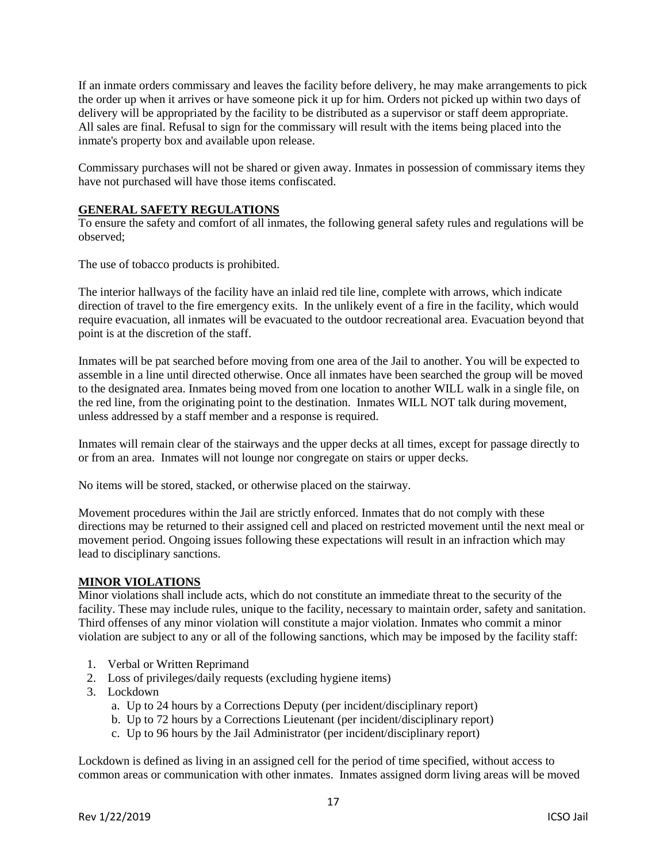If an inmate orders commissary and leaves the facility before delivery, he may make arrangements to pick the order up when it arrives or have someone pick it up for him. Orders not picked up within two days of delivery will be appropriated by the facility to be distributed as a supervisor or staff deem appropriate. All sales are final. Refusal to sign for the commissary will result with the items being placed into the inmate's property box and available upon release.

Commissary purchases will not be shared or given away. Inmates in possession of commissary items they have not purchased will have those items confiscated.

# **GENERAL SAFETY REGULATIONS**

To ensure the safety and comfort of all inmates, the following general safety rules and regulations will be observed;

The use of tobacco products is prohibited.

The interior hallways of the facility have an inlaid red tile line, complete with arrows, which indicate direction of travel to the fire emergency exits. In the unlikely event of a fire in the facility, which would require evacuation, all inmates will be evacuated to the outdoor recreational area. Evacuation beyond that point is at the discretion of the staff.

Inmates will be pat searched before moving from one area of the Jail to another. You will be expected to assemble in a line until directed otherwise. Once all inmates have been searched the group will be moved to the designated area. Inmates being moved from one location to another WILL walk in a single file, on the red line, from the originating point to the destination. Inmates WILL NOT talk during movement, unless addressed by a staff member and a response is required.

Inmates will remain clear of the stairways and the upper decks at all times, except for passage directly to or from an area. Inmates will not lounge nor congregate on stairs or upper decks.

No items will be stored, stacked, or otherwise placed on the stairway.

Movement procedures within the Jail are strictly enforced. Inmates that do not comply with these directions may be returned to their assigned cell and placed on restricted movement until the next meal or movement period. Ongoing issues following these expectations will result in an infraction which may lead to disciplinary sanctions.

## **MINOR VIOLATIONS**

Minor violations shall include acts, which do not constitute an immediate threat to the security of the facility. These may include rules, unique to the facility, necessary to maintain order, safety and sanitation. Third offenses of any minor violation will constitute a major violation. Inmates who commit a minor violation are subject to any or all of the following sanctions, which may be imposed by the facility staff:

- 1. Verbal or Written Reprimand
- 2. Loss of privileges/daily requests (excluding hygiene items)
- 3. Lockdown
	- a. Up to 24 hours by a Corrections Deputy (per incident/disciplinary report)
	- b. Up to 72 hours by a Corrections Lieutenant (per incident/disciplinary report)
	- c. Up to 96 hours by the Jail Administrator (per incident/disciplinary report)

Lockdown is defined as living in an assigned cell for the period of time specified, without access to common areas or communication with other inmates. Inmates assigned dorm living areas will be moved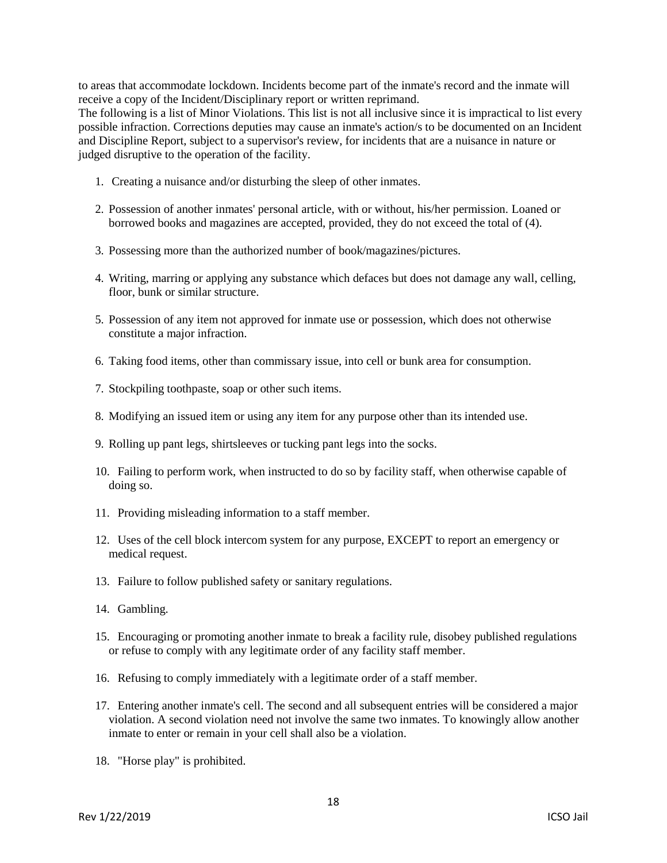to areas that accommodate lockdown. Incidents become part of the inmate's record and the inmate will receive a copy of the Incident/Disciplinary report or written reprimand.

The following is a list of Minor Violations. This list is not all inclusive since it is impractical to list every possible infraction. Corrections deputies may cause an inmate's action/s to be documented on an Incident and Discipline Report, subject to a supervisor's review, for incidents that are a nuisance in nature or judged disruptive to the operation of the facility.

- 1. Creating a nuisance and/or disturbing the sleep of other inmates.
- 2. Possession of another inmates' personal article, with or without, his/her permission. Loaned or borrowed books and magazines are accepted, provided, they do not exceed the total of (4).
- 3. Possessing more than the authorized number of book/magazines/pictures.
- 4. Writing, marring or applying any substance which defaces but does not damage any wall, celling, floor, bunk or similar structure.
- 5. Possession of any item not approved for inmate use or possession, which does not otherwise constitute a major infraction.
- 6. Taking food items, other than commissary issue, into cell or bunk area for consumption.
- 7. Stockpiling toothpaste, soap or other such items.
- 8. Modifying an issued item or using any item for any purpose other than its intended use.
- 9. Rolling up pant legs, shirtsleeves or tucking pant legs into the socks.
- 10. Failing to perform work, when instructed to do so by facility staff, when otherwise capable of doing so.
- 11. Providing misleading information to a staff member.
- 12. Uses of the cell block intercom system for any purpose, EXCEPT to report an emergency or medical request.
- 13. Failure to follow published safety or sanitary regulations.
- 14. Gambling.
- 15. Encouraging or promoting another inmate to break a facility rule, disobey published regulations or refuse to comply with any legitimate order of any facility staff member.
- 16. Refusing to comply immediately with a legitimate order of a staff member.
- 17. Entering another inmate's cell. The second and all subsequent entries will be considered a major violation. A second violation need not involve the same two inmates. To knowingly allow another inmate to enter or remain in your cell shall also be a violation.
- 18. "Horse play" is prohibited.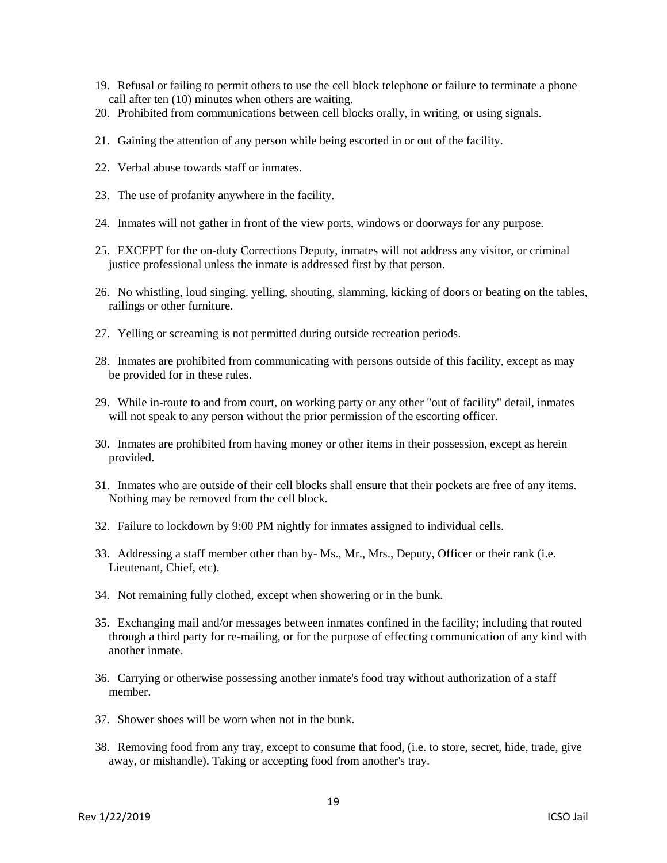- 19. Refusal or failing to permit others to use the cell block telephone or failure to terminate a phone call after ten (10) minutes when others are waiting.
- 20. Prohibited from communications between cell blocks orally, in writing, or using signals.
- 21. Gaining the attention of any person while being escorted in or out of the facility.
- 22. Verbal abuse towards staff or inmates.
- 23. The use of profanity anywhere in the facility.
- 24. Inmates will not gather in front of the view ports, windows or doorways for any purpose.
- 25. EXCEPT for the on-duty Corrections Deputy, inmates will not address any visitor, or criminal justice professional unless the inmate is addressed first by that person.
- 26. No whistling, loud singing, yelling, shouting, slamming, kicking of doors or beating on the tables, railings or other furniture.
- 27. Yelling or screaming is not permitted during outside recreation periods.
- 28. Inmates are prohibited from communicating with persons outside of this facility, except as may be provided for in these rules.
- 29. While in-route to and from court, on working party or any other "out of facility" detail, inmates will not speak to any person without the prior permission of the escorting officer.
- 30. Inmates are prohibited from having money or other items in their possession, except as herein provided.
- 31. Inmates who are outside of their cell blocks shall ensure that their pockets are free of any items. Nothing may be removed from the cell block.
- 32. Failure to lockdown by 9:00 PM nightly for inmates assigned to individual cells.
- 33. Addressing a staff member other than by- Ms., Mr., Mrs., Deputy, Officer or their rank (i.e. Lieutenant, Chief, etc).
- 34. Not remaining fully clothed, except when showering or in the bunk.
- 35. Exchanging mail and/or messages between inmates confined in the facility; including that routed through a third party for re-mailing, or for the purpose of effecting communication of any kind with another inmate.
- 36. Carrying or otherwise possessing another inmate's food tray without authorization of a staff member.
- 37. Shower shoes will be worn when not in the bunk.
- 38. Removing food from any tray, except to consume that food, (i.e. to store, secret, hide, trade, give away, or mishandle). Taking or accepting food from another's tray.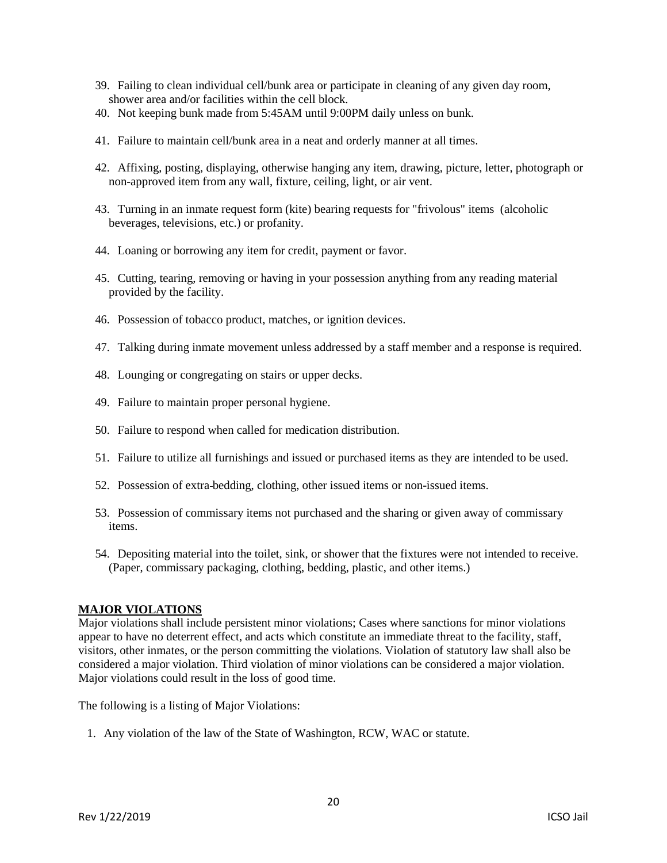- 39. Failing to clean individual cell/bunk area or participate in cleaning of any given day room, shower area and/or facilities within the cell block.
- 40. Not keeping bunk made from 5:45AM until 9:00PM daily unless on bunk.
- 41. Failure to maintain cell/bunk area in a neat and orderly manner at all times.
- 42. Affixing, posting, displaying, otherwise hanging any item, drawing, picture, letter, photograph or non-approved item from any wall, fixture, ceiling, light, or air vent.
- 43. Turning in an inmate request form (kite) bearing requests for "frivolous" items (alcoholic beverages, televisions, etc.) or profanity.
- 44. Loaning or borrowing any item for credit, payment or favor.
- 45. Cutting, tearing, removing or having in your possession anything from any reading material provided by the facility.
- 46. Possession of tobacco product, matches, or ignition devices.
- 47. Talking during inmate movement unless addressed by a staff member and a response is required.
- 48. Lounging or congregating on stairs or upper decks.
- 49. Failure to maintain proper personal hygiene.
- 50. Failure to respond when called for medication distribution.
- 51. Failure to utilize all furnishings and issued or purchased items as they are intended to be used.
- 52. Possession of extra bedding, clothing, other issued items or non-issued items.
- 53. Possession of commissary items not purchased and the sharing or given away of commissary items.
- 54. Depositing material into the toilet, sink, or shower that the fixtures were not intended to receive. (Paper, commissary packaging, clothing, bedding, plastic, and other items.)

#### **MAJOR VIOLATIONS**

Major violations shall include persistent minor violations; Cases where sanctions for minor violations appear to have no deterrent effect, and acts which constitute an immediate threat to the facility, staff, visitors, other inmates, or the person committing the violations. Violation of statutory law shall also be considered a major violation. Third violation of minor violations can be considered a major violation. Major violations could result in the loss of good time.

The following is a listing of Major Violations:

1. Any violation of the law of the State of Washington, RCW, WAC or statute.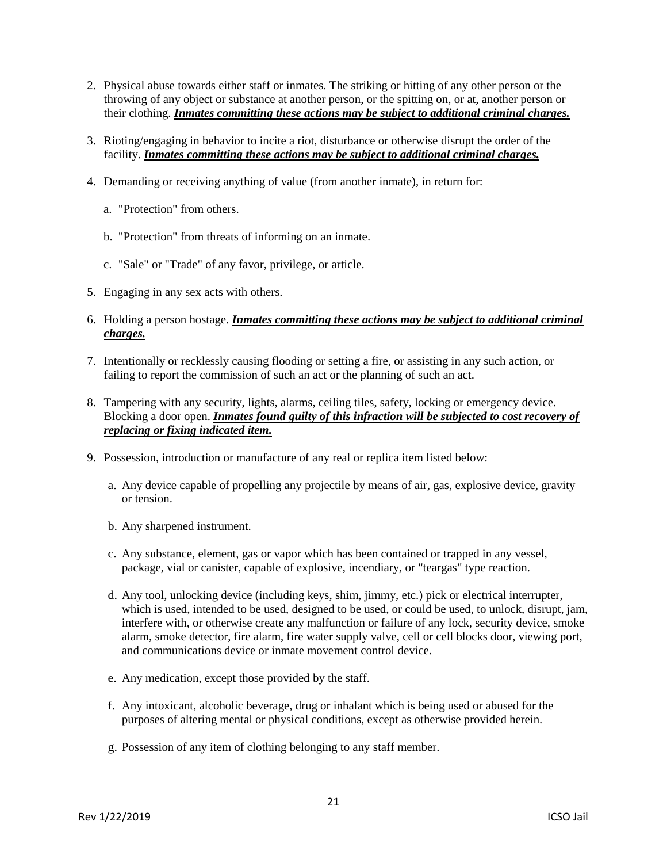- 2. Physical abuse towards either staff or inmates. The striking or hitting of any other person or the throwing of any object or substance at another person, or the spitting on, or at, another person or their clothing. *Inmates committing these actions may be subject to additional criminal charges.*
- 3. Rioting/engaging in behavior to incite a riot, disturbance or otherwise disrupt the order of the facility. *Inmates committing these actions may be subject to additional criminal charges.*
- 4. Demanding or receiving anything of value (from another inmate), in return for:
	- a. "Protection" from others.
	- b. "Protection" from threats of informing on an inmate.
	- c. "Sale" or "Trade" of any favor, privilege, or article.
- 5. Engaging in any sex acts with others.
- 6. Holding a person hostage. *Inmates committing these actions may be subject to additional criminal charges.*
- 7. Intentionally or recklessly causing flooding or setting a fire, or assisting in any such action, or failing to report the commission of such an act or the planning of such an act.
- 8. Tampering with any security, lights, alarms, ceiling tiles, safety, locking or emergency device. Blocking a door open. *Inmates found guilty of this infraction will be subjected to cost recovery of replacing or fixing indicated item.*
- 9. Possession, introduction or manufacture of any real or replica item listed below:
	- a. Any device capable of propelling any projectile by means of air, gas, explosive device, gravity or tension.
	- b. Any sharpened instrument.
	- c. Any substance, element, gas or vapor which has been contained or trapped in any vessel, package, vial or canister, capable of explosive, incendiary, or "teargas" type reaction.
	- d. Any tool, unlocking device (including keys, shim, jimmy, etc.) pick or electrical interrupter, which is used, intended to be used, designed to be used, or could be used, to unlock, disrupt, jam, interfere with, or otherwise create any malfunction or failure of any lock, security device, smoke alarm, smoke detector, fire alarm, fire water supply valve, cell or cell blocks door, viewing port, and communications device or inmate movement control device.
	- e. Any medication, except those provided by the staff.
	- f. Any intoxicant, alcoholic beverage, drug or inhalant which is being used or abused for the purposes of altering mental or physical conditions, except as otherwise provided herein.
	- g. Possession of any item of clothing belonging to any staff member.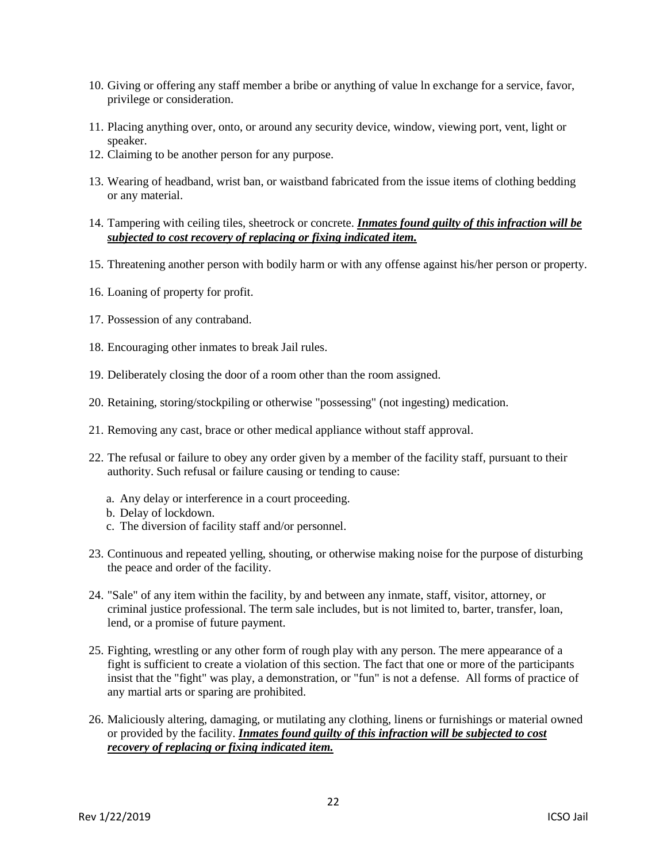- 10. Giving or offering any staff member a bribe or anything of value ln exchange for a service, favor, privilege or consideration.
- 11. Placing anything over, onto, or around any security device, window, viewing port, vent, light or speaker.
- 12. Claiming to be another person for any purpose.
- 13. Wearing of headband, wrist ban, or waistband fabricated from the issue items of clothing bedding or any material.
- 14. Tampering with ceiling tiles, sheetrock or concrete. *Inmates found guilty of this infraction will be subjected to cost recovery of replacing or fixing indicated item.*
- 15. Threatening another person with bodily harm or with any offense against his/her person or property.
- 16. Loaning of property for profit.
- 17. Possession of any contraband.
- 18. Encouraging other inmates to break Jail rules.
- 19. Deliberately closing the door of a room other than the room assigned.
- 20. Retaining, storing/stockpiling or otherwise "possessing" (not ingesting) medication.
- 21. Removing any cast, brace or other medical appliance without staff approval.
- 22. The refusal or failure to obey any order given by a member of the facility staff, pursuant to their authority. Such refusal or failure causing or tending to cause:
	- a. Any delay or interference in a court proceeding.
	- b. Delay of lockdown.
	- c. The diversion of facility staff and/or personnel.
- 23. Continuous and repeated yelling, shouting, or otherwise making noise for the purpose of disturbing the peace and order of the facility.
- 24. "Sale" of any item within the facility, by and between any inmate, staff, visitor, attorney, or criminal justice professional. The term sale includes, but is not limited to, barter, transfer, loan, lend, or a promise of future payment.
- 25. Fighting, wrestling or any other form of rough play with any person. The mere appearance of a fight is sufficient to create a violation of this section. The fact that one or more of the participants insist that the "fight" was play, a demonstration, or "fun" is not a defense. All forms of practice of any martial arts or sparing are prohibited.
- 26. Maliciously altering, damaging, or mutilating any clothing, linens or furnishings or material owned or provided by the facility. *Inmates found guilty of this infraction will be subjected to cost recovery of replacing or fixing indicated item.*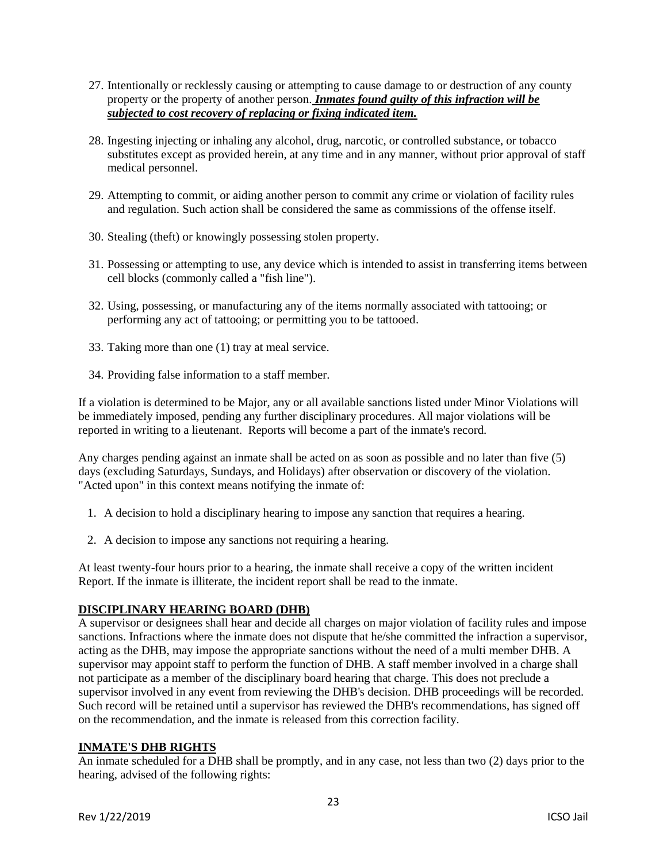- 27. Intentionally or recklessly causing or attempting to cause damage to or destruction of any county property or the property of another person. *Inmates found guilty of this infraction will be subjected to cost recovery of replacing or fixing indicated item.*
- 28. Ingesting injecting or inhaling any alcohol, drug, narcotic, or controlled substance, or tobacco substitutes except as provided herein, at any time and in any manner, without prior approval of staff medical personnel.
- 29. Attempting to commit, or aiding another person to commit any crime or violation of facility rules and regulation. Such action shall be considered the same as commissions of the offense itself.
- 30. Stealing (theft) or knowingly possessing stolen property.
- 31. Possessing or attempting to use, any device which is intended to assist in transferring items between cell blocks (commonly called a "fish line").
- 32. Using, possessing, or manufacturing any of the items normally associated with tattooing; or performing any act of tattooing; or permitting you to be tattooed.
- 33. Taking more than one (1) tray at meal service.
- 34. Providing false information to a staff member.

If a violation is determined to be Major, any or all available sanctions listed under Minor Violations will be immediately imposed, pending any further disciplinary procedures. All major violations will be reported in writing to a lieutenant. Reports will become a part of the inmate's record.

Any charges pending against an inmate shall be acted on as soon as possible and no later than five (5) days (excluding Saturdays, Sundays, and Holidays) after observation or discovery of the violation. "Acted upon" in this context means notifying the inmate of:

- 1. A decision to hold a disciplinary hearing to impose any sanction that requires a hearing.
- 2. A decision to impose any sanctions not requiring a hearing.

At least twenty-four hours prior to a hearing, the inmate shall receive a copy of the written incident Report. If the inmate is illiterate, the incident report shall be read to the inmate.

### **DISCIPLINARY HEARING BOARD (DHB)**

A supervisor or designees shall hear and decide all charges on major violation of facility rules and impose sanctions. Infractions where the inmate does not dispute that he/she committed the infraction a supervisor, acting as the DHB, may impose the appropriate sanctions without the need of a multi member DHB. A supervisor may appoint staff to perform the function of DHB. A staff member involved in a charge shall not participate as a member of the disciplinary board hearing that charge. This does not preclude a supervisor involved in any event from reviewing the DHB's decision. DHB proceedings will be recorded. Such record will be retained until a supervisor has reviewed the DHB's recommendations, has signed off on the recommendation, and the inmate is released from this correction facility.

### **INMATE'S DHB RIGHTS**

An inmate scheduled for a DHB shall be promptly, and in any case, not less than two (2) days prior to the hearing, advised of the following rights: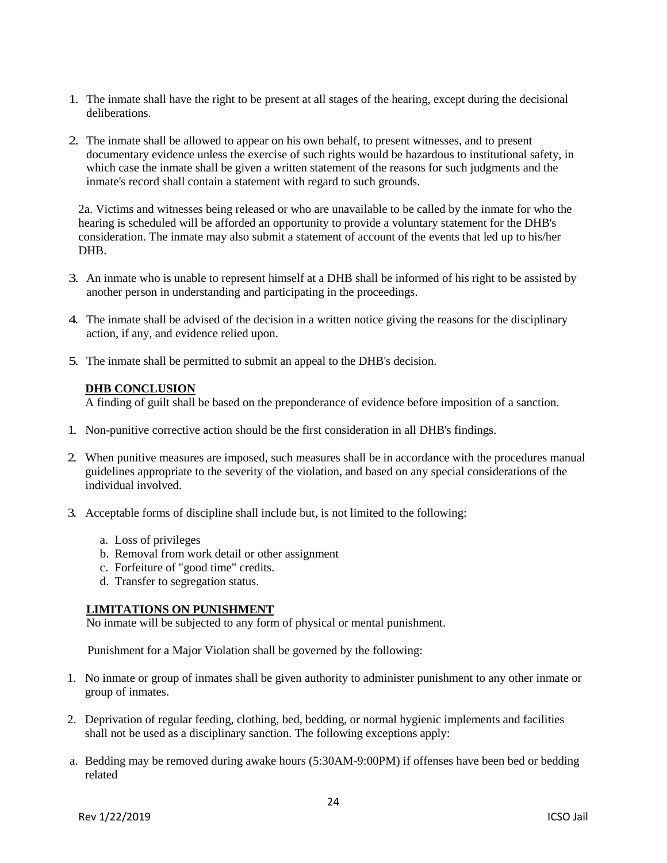- 1. The inmate shall have the right to be present at all stages of the hearing, except during the decisional deliberations.
- 2. The inmate shall be allowed to appear on his own behalf, to present witnesses, and to present documentary evidence unless the exercise of such rights would be hazardous to institutional safety, in which case the inmate shall be given a written statement of the reasons for such judgments and the inmate's record shall contain a statement with regard to such grounds.

2a. Victims and witnesses being released or who are unavailable to be called by the inmate for who the hearing is scheduled will be afforded an opportunity to provide a voluntary statement for the DHB's consideration. The inmate may also submit a statement of account of the events that led up to his/her DHB.

- 3. An inmate who is unable to represent himself at a DHB shall be informed of his right to be assisted by another person in understanding and participating in the proceedings.
- 4. The inmate shall be advised of the decision in a written notice giving the reasons for the disciplinary action, if any, and evidence relied upon.
- 5. The inmate shall be permitted to submit an appeal to the DHB's decision.

### **DHB CONCLUSION**

A finding of guilt shall be based on the preponderance of evidence before imposition of a sanction.

- 1. Non-punitive corrective action should be the first consideration in all DHB's findings.
- 2. When punitive measures are imposed, such measures shall be in accordance with the procedures manual guidelines appropriate to the severity of the violation, and based on any special considerations of the individual involved.
- 3. Acceptable forms of discipline shall include but, is not limited to the following:
	- a. Loss of privileges
	- b. Removal from work detail or other assignment
	- c. Forfeiture of "good time" credits.
	- d. Transfer to segregation status.

### **LIMITATIONS ON PUNISHMENT**

No inmate will be subjected to any form of physical or mental punishment.

Punishment for a Major Violation shall be governed by the following:

- 1. No inmate or group of inmates shall be given authority to administer punishment to any other inmate or group of inmates.
- 2. Deprivation of regular feeding, clothing, bed, bedding, or normal hygienic implements and facilities shall not be used as a disciplinary sanction. The following exceptions apply:
- a. Bedding may be removed during awake hours (5:30AM-9:00PM) if offenses have been bed or bedding related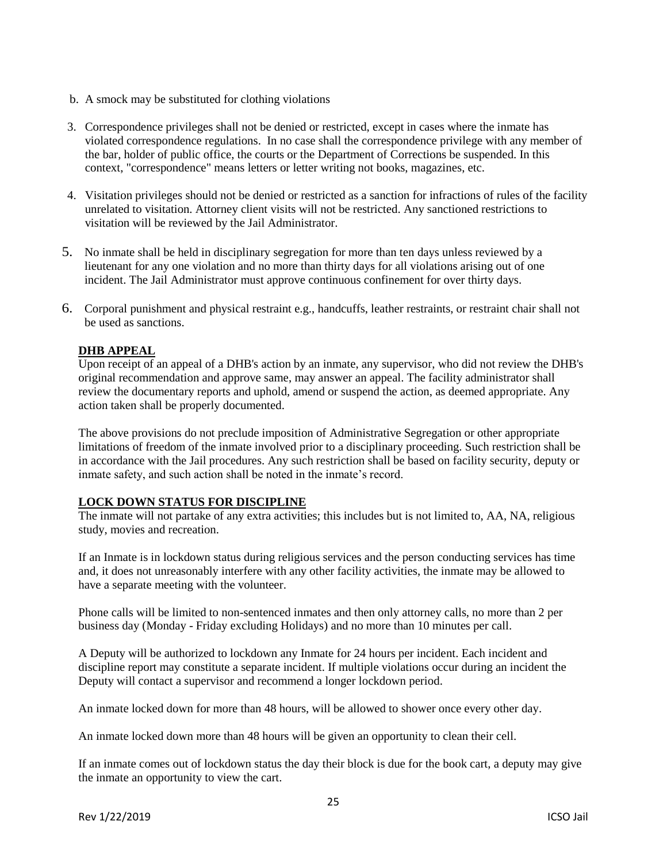- b. A smock may be substituted for clothing violations
- 3. Correspondence privileges shall not be denied or restricted, except in cases where the inmate has violated correspondence regulations. In no case shall the correspondence privilege with any member of the bar, holder of public office, the courts or the Department of Corrections be suspended. In this context, "correspondence" means letters or letter writing not books, magazines, etc.
- 4. Visitation privileges should not be denied or restricted as a sanction for infractions of rules of the facility unrelated to visitation. Attorney client visits will not be restricted. Any sanctioned restrictions to visitation will be reviewed by the Jail Administrator.
- 5. No inmate shall be held in disciplinary segregation for more than ten days unless reviewed by a lieutenant for any one violation and no more than thirty days for all violations arising out of one incident. The Jail Administrator must approve continuous confinement for over thirty days.
- 6. Corporal punishment and physical restraint e.g., handcuffs, leather restraints, or restraint chair shall not be used as sanctions.

# **DHB APPEAL**

Upon receipt of an appeal of a DHB's action by an inmate, any supervisor, who did not review the DHB's original recommendation and approve same, may answer an appeal. The facility administrator shall review the documentary reports and uphold, amend or suspend the action, as deemed appropriate. Any action taken shall be properly documented.

The above provisions do not preclude imposition of Administrative Segregation or other appropriate limitations of freedom of the inmate involved prior to a disciplinary proceeding. Such restriction shall be in accordance with the Jail procedures. Any such restriction shall be based on facility security, deputy or inmate safety, and such action shall be noted in the inmate's record.

### **LOCK DOWN STATUS FOR DISCIPLINE**

The inmate will not partake of any extra activities; this includes but is not limited to, AA, NA, religious study, movies and recreation.

If an Inmate is in lockdown status during religious services and the person conducting services has time and, it does not unreasonably interfere with any other facility activities, the inmate may be allowed to have a separate meeting with the volunteer.

Phone calls will be limited to non-sentenced inmates and then only attorney calls, no more than 2 per business day (Monday - Friday excluding Holidays) and no more than 10 minutes per call.

A Deputy will be authorized to lockdown any Inmate for 24 hours per incident. Each incident and discipline report may constitute a separate incident. If multiple violations occur during an incident the Deputy will contact a supervisor and recommend a longer lockdown period.

An inmate locked down for more than 48 hours, will be allowed to shower once every other day.

An inmate locked down more than 48 hours will be given an opportunity to clean their cell.

If an inmate comes out of lockdown status the day their block is due for the book cart, a deputy may give the inmate an opportunity to view the cart.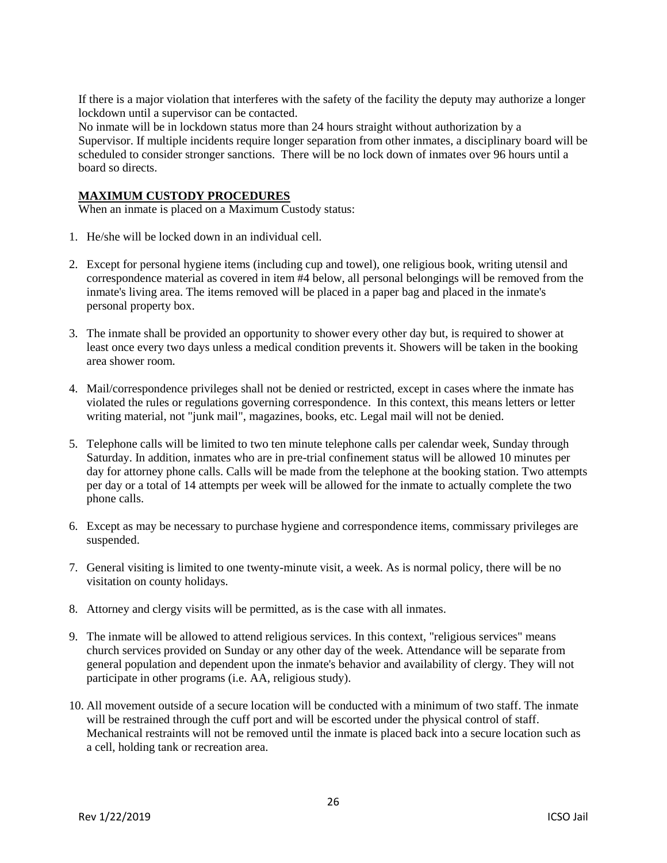If there is a major violation that interferes with the safety of the facility the deputy may authorize a longer lockdown until a supervisor can be contacted.

No inmate will be in lockdown status more than 24 hours straight without authorization by a Supervisor. If multiple incidents require longer separation from other inmates, a disciplinary board will be scheduled to consider stronger sanctions. There will be no lock down of inmates over 96 hours until a board so directs.

#### **MAXIMUM CUSTODY PROCEDURES**

When an inmate is placed on a Maximum Custody status:

- 1. He/she will be locked down in an individual cell.
- 2. Except for personal hygiene items (including cup and towel), one religious book, writing utensil and correspondence material as covered in item #4 below, all personal belongings will be removed from the inmate's living area. The items removed will be placed in a paper bag and placed in the inmate's personal property box.
- 3. The inmate shall be provided an opportunity to shower every other day but, is required to shower at least once every two days unless a medical condition prevents it. Showers will be taken in the booking area shower room.
- 4. Mail/correspondence privileges shall not be denied or restricted, except in cases where the inmate has violated the rules or regulations governing correspondence. In this context, this means letters or letter writing material, not "junk mail", magazines, books, etc. Legal mail will not be denied.
- 5. Telephone calls will be limited to two ten minute telephone calls per calendar week, Sunday through Saturday. In addition, inmates who are in pre-trial confinement status will be allowed 10 minutes per day for attorney phone calls. Calls will be made from the telephone at the booking station. Two attempts per day or a total of 14 attempts per week will be allowed for the inmate to actually complete the two phone calls.
- 6. Except as may be necessary to purchase hygiene and correspondence items, commissary privileges are suspended.
- 7. General visiting is limited to one twenty-minute visit, a week. As is normal policy, there will be no visitation on county holidays.
- 8. Attorney and clergy visits will be permitted, as is the case with all inmates.
- 9. The inmate will be allowed to attend religious services. In this context, "religious services" means church services provided on Sunday or any other day of the week. Attendance will be separate from general population and dependent upon the inmate's behavior and availability of clergy. They will not participate in other programs (i.e. AA, religious study).
- 10. All movement outside of a secure location will be conducted with a minimum of two staff. The inmate will be restrained through the cuff port and will be escorted under the physical control of staff. Mechanical restraints will not be removed until the inmate is placed back into a secure location such as a cell, holding tank or recreation area.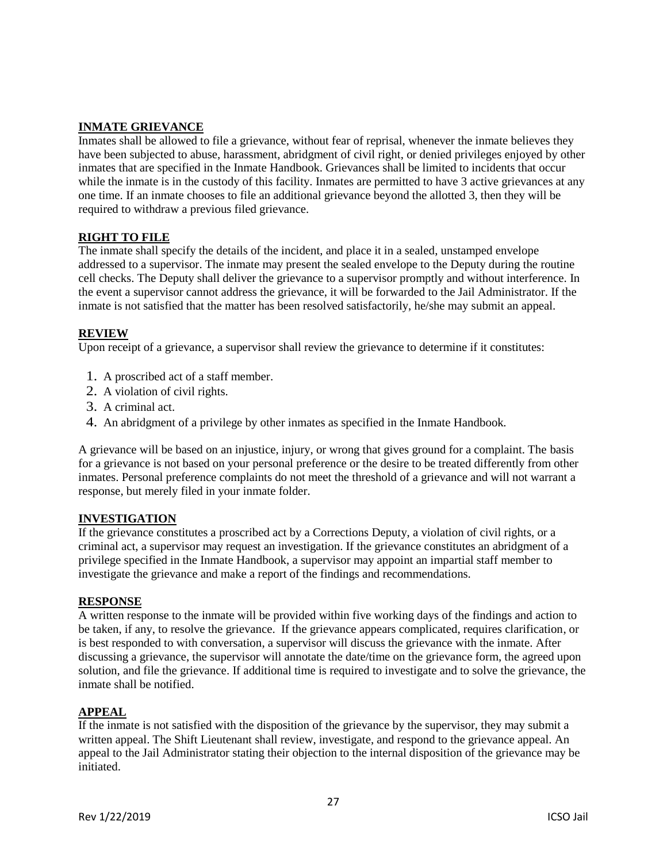# **INMATE GRIEVANCE**

Inmates shall be allowed to file a grievance, without fear of reprisal, whenever the inmate believes they have been subjected to abuse, harassment, abridgment of civil right, or denied privileges enjoyed by other inmates that are specified in the Inmate Handbook. Grievances shall be limited to incidents that occur while the inmate is in the custody of this facility. Inmates are permitted to have 3 active grievances at any one time. If an inmate chooses to file an additional grievance beyond the allotted 3, then they will be required to withdraw a previous filed grievance.

# **RIGHT TO FILE**

The inmate shall specify the details of the incident, and place it in a sealed, unstamped envelope addressed to a supervisor. The inmate may present the sealed envelope to the Deputy during the routine cell checks. The Deputy shall deliver the grievance to a supervisor promptly and without interference. In the event a supervisor cannot address the grievance, it will be forwarded to the Jail Administrator. If the inmate is not satisfied that the matter has been resolved satisfactorily, he/she may submit an appeal.

# **REVIEW**

Upon receipt of a grievance, a supervisor shall review the grievance to determine if it constitutes:

- 1. A proscribed act of a staff member.
- 2. A violation of civil rights.
- 3. A criminal act.
- 4. An abridgment of a privilege by other inmates as specified in the Inmate Handbook.

A grievance will be based on an injustice, injury, or wrong that gives ground for a complaint. The basis for a grievance is not based on your personal preference or the desire to be treated differently from other inmates. Personal preference complaints do not meet the threshold of a grievance and will not warrant a response, but merely filed in your inmate folder.

### **INVESTIGATION**

If the grievance constitutes a proscribed act by a Corrections Deputy, a violation of civil rights, or a criminal act, a supervisor may request an investigation. If the grievance constitutes an abridgment of a privilege specified in the Inmate Handbook, a supervisor may appoint an impartial staff member to investigate the grievance and make a report of the findings and recommendations.

### **RESPONSE**

A written response to the inmate will be provided within five working days of the findings and action to be taken, if any, to resolve the grievance. If the grievance appears complicated, requires clarification, or is best responded to with conversation, a supervisor will discuss the grievance with the inmate. After discussing a grievance, the supervisor will annotate the date/time on the grievance form, the agreed upon solution, and file the grievance. If additional time is required to investigate and to solve the grievance, the inmate shall be notified.

### **APPEAL**

If the inmate is not satisfied with the disposition of the grievance by the supervisor, they may submit a written appeal. The Shift Lieutenant shall review, investigate, and respond to the grievance appeal. An appeal to the Jail Administrator stating their objection to the internal disposition of the grievance may be initiated.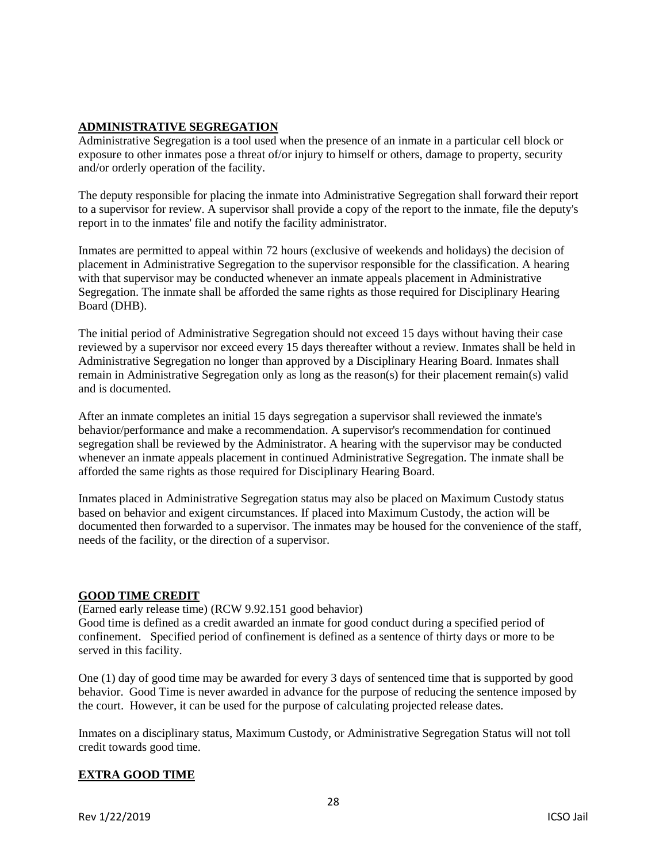# **ADMINISTRATIVE SEGREGATION**

Administrative Segregation is a tool used when the presence of an inmate in a particular cell block or exposure to other inmates pose a threat of/or injury to himself or others, damage to property, security and/or orderly operation of the facility.

The deputy responsible for placing the inmate into Administrative Segregation shall forward their report to a supervisor for review. A supervisor shall provide a copy of the report to the inmate, file the deputy's report in to the inmates' file and notify the facility administrator.

Inmates are permitted to appeal within 72 hours (exclusive of weekends and holidays) the decision of placement in Administrative Segregation to the supervisor responsible for the classification. A hearing with that supervisor may be conducted whenever an inmate appeals placement in Administrative Segregation. The inmate shall be afforded the same rights as those required for Disciplinary Hearing Board (DHB).

The initial period of Administrative Segregation should not exceed 15 days without having their case reviewed by a supervisor nor exceed every 15 days thereafter without a review. Inmates shall be held in Administrative Segregation no longer than approved by a Disciplinary Hearing Board. Inmates shall remain in Administrative Segregation only as long as the reason(s) for their placement remain(s) valid and is documented.

After an inmate completes an initial 15 days segregation a supervisor shall reviewed the inmate's behavior/performance and make a recommendation. A supervisor's recommendation for continued segregation shall be reviewed by the Administrator. A hearing with the supervisor may be conducted whenever an inmate appeals placement in continued Administrative Segregation. The inmate shall be afforded the same rights as those required for Disciplinary Hearing Board.

Inmates placed in Administrative Segregation status may also be placed on Maximum Custody status based on behavior and exigent circumstances. If placed into Maximum Custody, the action will be documented then forwarded to a supervisor. The inmates may be housed for the convenience of the staff, needs of the facility, or the direction of a supervisor.

# **GOOD TIME CREDIT**

(Earned early release time) (RCW 9.92.151 good behavior) Good time is defined as a credit awarded an inmate for good conduct during a specified period of confinement. Specified period of confinement is defined as a sentence of thirty days or more to be served in this facility.

One (1) day of good time may be awarded for every 3 days of sentenced time that is supported by good behavior. Good Time is never awarded in advance for the purpose of reducing the sentence imposed by the court. However, it can be used for the purpose of calculating projected release dates.

Inmates on a disciplinary status, Maximum Custody, or Administrative Segregation Status will not toll credit towards good time.

# **EXTRA GOOD TIME**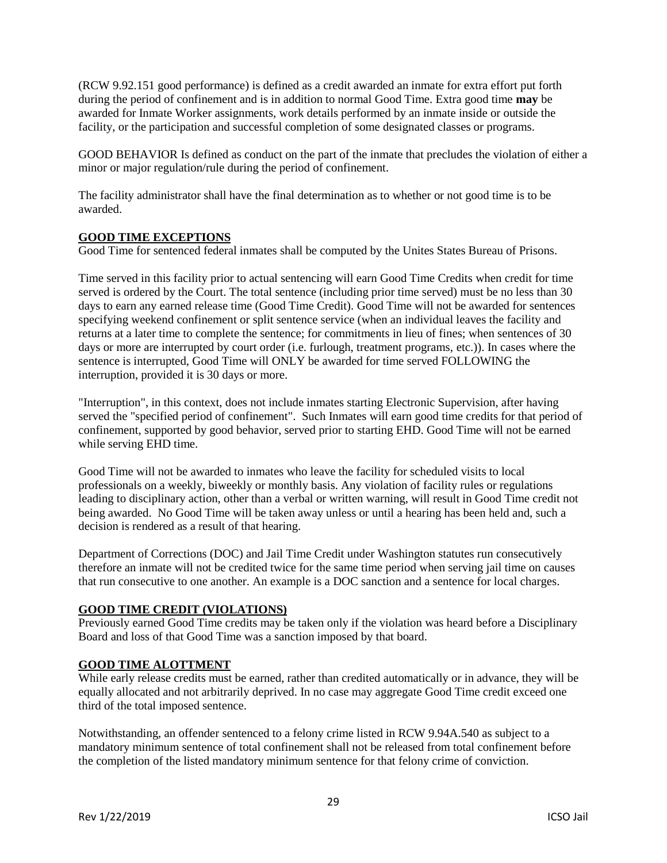(RCW 9.92.151 good performance) is defined as a credit awarded an inmate for extra effort put forth during the period of confinement and is in addition to normal Good Time. Extra good time **may** be awarded for Inmate Worker assignments, work details performed by an inmate inside or outside the facility, or the participation and successful completion of some designated classes or programs.

GOOD BEHAVIOR Is defined as conduct on the part of the inmate that precludes the violation of either a minor or major regulation/rule during the period of confinement.

The facility administrator shall have the final determination as to whether or not good time is to be awarded.

# **GOOD TIME EXCEPTIONS**

Good Time for sentenced federal inmates shall be computed by the Unites States Bureau of Prisons.

Time served in this facility prior to actual sentencing will earn Good Time Credits when credit for time served is ordered by the Court. The total sentence (including prior time served) must be no less than 30 days to earn any earned release time (Good Time Credit). Good Time will not be awarded for sentences specifying weekend confinement or split sentence service (when an individual leaves the facility and returns at a later time to complete the sentence; for commitments in lieu of fines; when sentences of 30 days or more are interrupted by court order (i.e. furlough, treatment programs, etc.)). In cases where the sentence is interrupted, Good Time will ONLY be awarded for time served FOLLOWING the interruption, provided it is 30 days or more.

"Interruption", in this context, does not include inmates starting Electronic Supervision, after having served the "specified period of confinement". Such Inmates will earn good time credits for that period of confinement, supported by good behavior, served prior to starting EHD. Good Time will not be earned while serving EHD time.

Good Time will not be awarded to inmates who leave the facility for scheduled visits to local professionals on a weekly, biweekly or monthly basis. Any violation of facility rules or regulations leading to disciplinary action, other than a verbal or written warning, will result in Good Time credit not being awarded. No Good Time will be taken away unless or until a hearing has been held and, such a decision is rendered as a result of that hearing.

Department of Corrections (DOC) and Jail Time Credit under Washington statutes run consecutively therefore an inmate will not be credited twice for the same time period when serving jail time on causes that run consecutive to one another. An example is a DOC sanction and a sentence for local charges.

### **GOOD TIME CREDIT (VIOLATIONS)**

Previously earned Good Time credits may be taken only if the violation was heard before a Disciplinary Board and loss of that Good Time was a sanction imposed by that board.

### **GOOD TIME ALOTTMENT**

While early release credits must be earned, rather than credited automatically or in advance, they will be equally allocated and not arbitrarily deprived. In no case may aggregate Good Time credit exceed one third of the total imposed sentence.

Notwithstanding, an offender sentenced to a felony crime listed in RCW 9.94A.540 as subject to a mandatory minimum sentence of total confinement shall not be released from total confinement before the completion of the listed mandatory minimum sentence for that felony crime of conviction.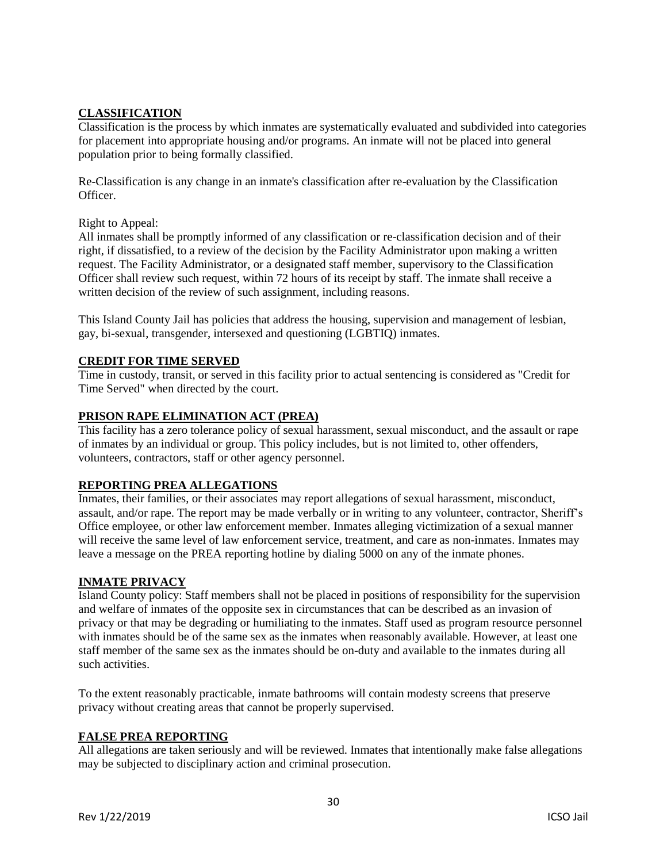# **CLASSIFICATION**

Classification is the process by which inmates are systematically evaluated and subdivided into categories for placement into appropriate housing and/or programs. An inmate will not be placed into general population prior to being formally classified.

Re-Classification is any change in an inmate's classification after re-evaluation by the Classification Officer.

Right to Appeal:

All inmates shall be promptly informed of any classification or re-classification decision and of their right, if dissatisfied, to a review of the decision by the Facility Administrator upon making a written request. The Facility Administrator, or a designated staff member, supervisory to the Classification Officer shall review such request, within 72 hours of its receipt by staff. The inmate shall receive a written decision of the review of such assignment, including reasons.

This Island County Jail has policies that address the housing, supervision and management of lesbian, gay, bi-sexual, transgender, intersexed and questioning (LGBTIQ) inmates.

# **CREDIT FOR TIME SERVED**

Time in custody, transit, or served in this facility prior to actual sentencing is considered as "Credit for Time Served" when directed by the court.

# **PRISON RAPE ELIMINATION ACT (PREA)**

This facility has a zero tolerance policy of sexual harassment, sexual misconduct, and the assault or rape of inmates by an individual or group. This policy includes, but is not limited to, other offenders, volunteers, contractors, staff or other agency personnel.

# **REPORTING PREA ALLEGATIONS**

Inmates, their families, or their associates may report allegations of sexual harassment, misconduct, assault, and/or rape. The report may be made verbally or in writing to any volunteer, contractor, Sheriff's Office employee, or other law enforcement member. Inmates alleging victimization of a sexual manner will receive the same level of law enforcement service, treatment, and care as non-inmates. Inmates may leave a message on the PREA reporting hotline by dialing 5000 on any of the inmate phones.

### **INMATE PRIVACY**

Island County policy: Staff members shall not be placed in positions of responsibility for the supervision and welfare of inmates of the opposite sex in circumstances that can be described as an invasion of privacy or that may be degrading or humiliating to the inmates. Staff used as program resource personnel with inmates should be of the same sex as the inmates when reasonably available. However, at least one staff member of the same sex as the inmates should be on-duty and available to the inmates during all such activities.

To the extent reasonably practicable, inmate bathrooms will contain modesty screens that preserve privacy without creating areas that cannot be properly supervised.

### **FALSE PREA REPORTING**

All allegations are taken seriously and will be reviewed. Inmates that intentionally make false allegations may be subjected to disciplinary action and criminal prosecution.